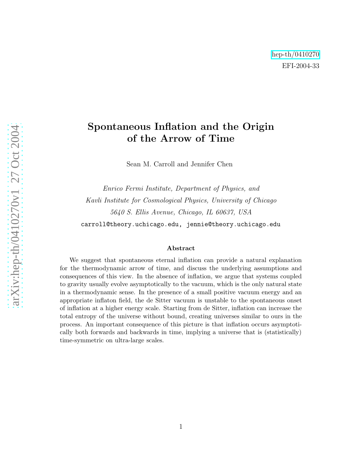## Spontaneous Inflation and the Origin of the Arrow of Time

Sean M. Carroll and Jennifer Chen

Enrico Fermi Institute, Department of Physics, and Kavli Institute for Cosmological Physics, University of Chicago 5640 S. Ellis Avenue, Chicago, IL 60637, USA carroll@theory.uchicago.edu, jennie@theory.uchicago.edu

#### Abstract

We suggest that spontaneous eternal inflation can provide a natural explanation for the thermodynamic arrow of time, and discuss the underlying assumptions and consequences of this view. In the absence of inflation, we argue that systems coupled to gravity usually evolve asymptotically to the vacuum, which is the only natural state in a thermodynamic sense. In the presence of a small positive vacuum energy and an appropriate inflaton field, the de Sitter vacuum is unstable to the spontaneous onset of inflation at a higher energy scale. Starting from de Sitter, inflation can increase the total entropy of the universe without bound, creating universes similar to ours in the process. An important consequence of this picture is that inflation occurs asymptotically both forwards and backwards in time, implying a universe that is (statistically) time-symmetric on ultra-large scales.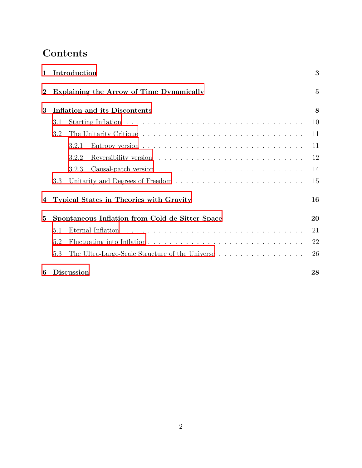# Contents

| $\mathbf{1}$     |                                                 | Introduction                                    | 3              |
|------------------|-------------------------------------------------|-------------------------------------------------|----------------|
| $\boldsymbol{2}$ |                                                 | Explaining the Arrow of Time Dynamically        | $\overline{5}$ |
| 3                |                                                 | <b>Inflation and its Discontents</b>            | 8              |
|                  | 3.1                                             |                                                 | 10             |
|                  | 3.2                                             |                                                 | 11             |
|                  |                                                 | 3.2.1                                           | 11             |
|                  |                                                 | 3.2.2                                           | 12             |
|                  |                                                 | 3.2.3                                           | 14             |
|                  | 3.3                                             |                                                 | 15             |
| 4                |                                                 | <b>Typical States in Theories with Gravity</b>  | 16             |
| $\bf{5}$         | Spontaneous Inflation from Cold de Sitter Space |                                                 | 20             |
|                  | 5.1                                             |                                                 | 21             |
|                  | 5.2                                             |                                                 | 22             |
|                  | 5.3                                             | The Ultra-Large-Scale Structure of the Universe | 26             |
| 6                |                                                 | <b>Discussion</b>                               | 28             |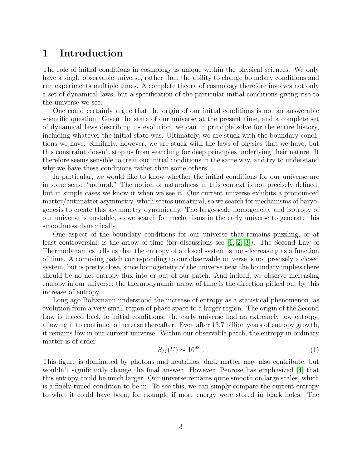## <span id="page-2-0"></span>1 Introduction

The role of initial conditions in cosmology is unique within the physical sciences. We only have a single observable universe, rather than the ability to change boundary conditions and run experiments multiple times. A complete theory of cosmology therefore involves not only a set of dynamical laws, but a specification of the particular initial conditions giving rise to the universe we see.

One could certainly argue that the origin of our initial conditions is not an answerable scientific question. Given the state of our universe at the present time, and a complete set of dynamical laws describing its evolution, we can in principle solve for the entire history, including whatever the initial state was. Ultimately, we are stuck with the boundary conditions we have. Similarly, however, we are stuck with the laws of physics that we have, but this constraint doesn't stop us from searching for deep principles underlying their nature. It therefore seems sensible to treat our initial conditions in the same way, and try to understand why we have these conditions rather than some others.

In particular, we would like to know whether the initial conditions for our universe are in some sense "natural." The notion of naturalness in this context is not precisely defined, but in simple cases we know it when we see it. Our current universe exhibits a pronounced matter/antimatter asymmetry, which seems unnatural, so we search for mechanisms of baryogenesis to create this asymmetry dynamically. The large-scale homogeneity and isotropy of our universe is unstable, so we search for mechanisms in the early universe to generate this smoothness dynamically.

One aspect of the boundary conditions for our universe that remains puzzling, or at least controversial, is the arrow of time (for discussions see [\[1,](#page-30-0) [2,](#page-30-1) [3\]](#page-30-2)). The Second Law of Thermodynamics tells us that the entropy of a closed system is non-decreasing as a function of time. A comoving patch corresponding to our observable universe is not precisely a closed system, but is pretty close, since homogeneity of the universe near the boundary implies there should be no net entropy flux into or out of our patch. And indeed, we observe increasing entropy in our universe; the thermodynamic arrow of time is the direction picked out by this increase of entropy.

Long ago Boltzmann understood the increase of entropy as a statistical phenomenon, as evolution from a very small region of phase space to a larger region. The origin of the Second Law is traced back to initial conditions: the early universe had an extremely low entropy, allowing it to continue to increase thereafter. Even after 13.7 billion years of entropy growth, it remains low in our current universe. Within our observable patch, the entropy in ordinary matter is of order

<span id="page-2-1"></span>
$$
S_M(U) \sim 10^{88} \tag{1}
$$

This figure is dominated by photons and neutrinos; dark matter may also contribute, but wouldn't significantly change the final answer. However, Penrose has emphasized [\[4\]](#page-30-3) that this entropy could be much larger. Our universe remains quite smooth on large scales, which is a finely-tuned condition to be in. To see this, we can simply compare the current entropy to what it could have been, for example if more energy were stored in black holes. The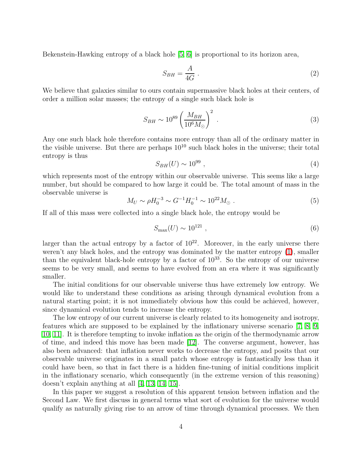Bekenstein-Hawking entropy of a black hole [\[5,](#page-30-4) [6\]](#page-30-5) is proportional to its horizon area,

$$
S_{BH} = \frac{A}{4G} \tag{2}
$$

We believe that galaxies similar to ours contain supermassive black holes at their centers, of order a million solar masses; the entropy of a single such black hole is

$$
S_{BH} \sim 10^{89} \left(\frac{M_{BH}}{10^6 M_{\odot}}\right)^2 \,. \tag{3}
$$

Any one such black hole therefore contains more entropy than all of the ordinary matter in the visible universe. But there are perhaps  $10^{10}$  such black holes in the universe; their total entropy is thus

<span id="page-3-0"></span>
$$
S_{BH}(U) \sim 10^{99} \t{,} \t(4)
$$

which represents most of the entropy within our observable universe. This seems like a large number, but should be compared to how large it could be. The total amount of mass in the observable universe is

$$
M_U \sim \rho H_0^{-3} \sim G^{-1} H_0^{-1} \sim 10^{22} M_\odot \ . \tag{5}
$$

If all of this mass were collected into a single black hole, the entropy would be

$$
S_{\text{max}}(U) \sim 10^{121} \tag{6}
$$

larger than the actual entropy by a factor of  $10^{22}$ . Moreover, in the early universe there weren't any black holes, and the entropy was dominated by the matter entropy [\(1\)](#page-2-1), smaller than the equivalent black-hole entropy by a factor of  $10^{33}$ . So the entropy of our universe seems to be very small, and seems to have evolved from an era where it was significantly smaller.

The initial conditions for our observable universe thus have extremely low entropy. We would like to understand these conditions as arising through dynamical evolution from a natural starting point; it is not immediately obvious how this could be achieved, however, since dynamical evolution tends to increase the entropy.

The low entropy of our current universe is clearly related to its homogeneity and isotropy, features which are supposed to be explained by the inflationary universe scenario [\[7,](#page-30-6) [8,](#page-30-7) [9,](#page-30-8) [10,](#page-30-9) [11\]](#page-30-10). It is therefore tempting to invoke inflation as the origin of the thermodynamic arrow of time, and indeed this move has been made [\[12\]](#page-30-11). The converse argument, however, has also been advanced: that inflation never works to decrease the entropy, and posits that our observable universe originates in a small patch whose entropy is fantastically less than it could have been, so that in fact there is a hidden fine-tuning of initial conditions implicit in the inflationary scenario, which consequently (in the extreme version of this reasoning) doesn't explain anything at all [\[4,](#page-30-3) [13,](#page-30-12) [14,](#page-30-13) [15\]](#page-30-14).

In this paper we suggest a resolution of this apparent tension between inflation and the Second Law. We first discuss in general terms what sort of evolution for the universe would qualify as naturally giving rise to an arrow of time through dynamical processes. We then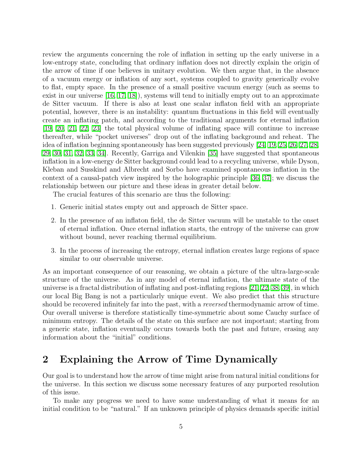review the arguments concerning the role of inflation in setting up the early universe in a low-entropy state, concluding that ordinary inflation does not directly explain the origin of the arrow of time if one believes in unitary evolution. We then argue that, in the absence of a vacuum energy or inflation of any sort, systems coupled to gravity generically evolve to flat, empty space. In the presence of a small positive vacuum energy (such as seems to exist in our universe [\[16,](#page-31-0) [17,](#page-31-1) [18\]](#page-31-2)), systems will tend to initially empty out to an approximate de Sitter vacuum. If there is also at least one scalar inflaton field with an appropriate potential, however, there is an instability: quantum fluctuations in this field will eventually create an inflating patch, and according to the traditional arguments for eternal inflation [\[19,](#page-31-3) [20,](#page-31-4) [21,](#page-31-5) [22,](#page-31-6) [23\]](#page-31-7) the total physical volume of inflating space will continue to increase thereafter, while "pocket universes" drop out of the inflating background and reheat. The idea of inflation beginning spontaneously has been suggested previously [\[24,](#page-31-8) [19,](#page-31-3) [25,](#page-31-9) [26,](#page-31-10) [27,](#page-31-11) [28,](#page-31-12) [29,](#page-31-13) [30,](#page-31-14) [31,](#page-31-15) [32,](#page-32-0) [33,](#page-32-1) [34\]](#page-32-2). Recently, Garriga and Vilenkin [\[35\]](#page-32-3) have suggested that spontaneous inflation in a low-energy de Sitter background could lead to a recycling universe, while Dyson, Kleban and Susskind and Albrecht and Sorbo have examined spontaneous inflation in the context of a causal-patch view inspired by the holographic principle [\[36,](#page-32-4) [37\]](#page-32-5); we discuss the relationship between our picture and these ideas in greater detail below.

The crucial features of this scenario are thus the following:

- 1. Generic initial states empty out and approach de Sitter space.
- 2. In the presence of an inflaton field, the de Sitter vacuum will be unstable to the onset of eternal inflation. Once eternal inflation starts, the entropy of the universe can grow without bound, never reaching thermal equilibrium.
- 3. In the process of increasing the entropy, eternal inflation creates large regions of space similar to our observable universe.

As an important consequence of our reasoning, we obtain a picture of the ultra-large-scale structure of the universe. As in any model of eternal inflation, the ultimate state of the universe is a fractal distribution of inflating and post-inflating regions [\[21,](#page-31-5) [22,](#page-31-6) [38,](#page-32-6) [39\]](#page-32-7), in which our local Big Bang is not a particularly unique event. We also predict that this structure should be recovered infinitely far into the past, with a *reversed* thermodynamic arrow of time. Our overall universe is therefore statistically time-symmetric about some Cauchy surface of minimum entropy. The details of the state on this surface are not important; starting from a generic state, inflation eventually occurs towards both the past and future, erasing any information about the "initial" conditions.

## <span id="page-4-0"></span>2 Explaining the Arrow of Time Dynamically

Our goal is to understand how the arrow of time might arise from natural initial conditions for the universe. In this section we discuss some necessary features of any purported resolution of this issue.

To make any progress we need to have some understanding of what it means for an initial condition to be "natural." If an unknown principle of physics demands specific initial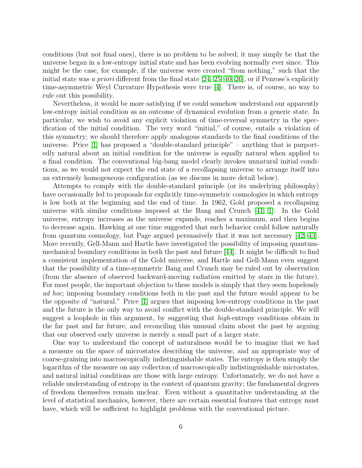conditions (but not final ones), there is no problem to be solved; it may simply be that the universe began in a low-entropy initial state and has been evolving normally ever since. This might be the case, for example, if the universe were created "from nothing," such that the initial state was a priori different from the final state  $[24, 25, 40, 26]$  $[24, 25, 40, 26]$  $[24, 25, 40, 26]$  $[24, 25, 40, 26]$ , or if Penrose's explicitly time-asymmetric Weyl Curvature Hypothesis were true [\[4\]](#page-30-3). There is, of course, no way to rule out this possibility.

Nevertheless, it would be more satisfying if we could somehow understand our apparently low-entropy initial condition as an outcome of dynamical evolution from a generic state. In particular, we wish to avoid any explicit violation of time-reversal symmetry in the specification of the initial condition. The very word "initial," of course, entails a violation of this symmetry; we should therefore apply analogous standards to the final conditions of the universe. Price [\[1\]](#page-30-0) has proposed a "double-standard principle" – anything that is purportedly natural about an initial condition for the universe is equally natural when applied to a final condition. The conventional big-bang model clearly invokes unnatural initial conditions, as we would not expect the end state of a recollapsing universe to arrange itself into an extremely homogeneous configuration (as we discuss in more detail below).

Attempts to comply with the double-standard principle (or its underlying philosophy) have occasionally led to proposals for explicitly time-symmetric cosmologies in which entropy is low both at the beginning and the end of time. In 1962, Gold proposed a recollapsing universe with similar conditions imposed at the Bang and Crunch [\[41,](#page-32-9) [1\]](#page-30-0). In the Gold universe, entropy increases as the universe expands, reaches a maximum, and then begins to decrease again. Hawking at one time suggested that such behavior could follow naturally from quantum cosmology, but Page argued persuasively that it was not necessary [\[42,](#page-32-10) [43\]](#page-32-11). More recently, Gell-Mann and Hartle have investigated the possibility of imposing quantummechanical boundary conditions in both the past and future [\[44\]](#page-32-12). It might be difficult to find a consistent implementation of the Gold universe, and Hartle and Gell-Mann even suggest that the possibility of a time-symmetric Bang and Crunch may be ruled out by observation (from the absence of observed backward-moving radiation emitted by stars in the future). For most people, the important objection to these models is simply that they seem hopelessly ad hoc; imposing boundary conditions both in the past and the future would appear to be the opposite of "natural." Price [\[1\]](#page-30-0) argues that imposing low-entropy conditions in the past and the future is the only way to avoid conflict with the double-standard principle. We will suggest a loophole in this argument, by suggesting that *high*-entropy conditions obtain in the far past and far future, and reconciling this unusual claim about the past by arguing that our observed early universe is merely a small part of a larger state.

One way to understand the concept of naturalness would be to imagine that we had a measure on the space of microstates describing the universe, and an appropriate way of coarse-graining into macroscopically indistinguishable states. The entropy is then simply the logarithm of the measure on any collection of macroscopically indistinguishable microstates, and natural initial conditions are those with large entropy. Unfortunately, we do not have a reliable understanding of entropy in the context of quantum gravity; the fundamental degrees of freedom themselves remain unclear. Even without a quantitative understanding at the level of statistical mechanics, however, there are certain essential features that entropy must have, which will be sufficient to highlight problems with the conventional picture.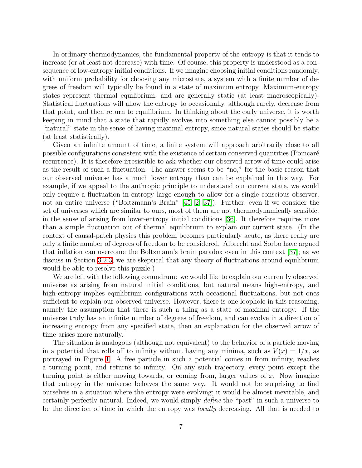In ordinary thermodynamics, the fundamental property of the entropy is that it tends to increase (or at least not decrease) with time. Of course, this property is understood as a consequence of low-entropy initial conditions. If we imagine choosing initial conditions randomly, with uniform probability for choosing any microstate, a system with a finite number of degrees of freedom will typically be found in a state of maximum entropy. Maximum-entropy states represent thermal equilibrium, and are generally static (at least macroscopically). Statistical fluctuations will allow the entropy to occasionally, although rarely, decrease from that point, and then return to equilibrium. In thinking about the early universe, it is worth keeping in mind that a state that rapidly evolves into something else cannot possibly be a "natural" state in the sense of having maximal entropy, since natural states should be static (at least statistically).

Given an infinite amount of time, a finite system will approach arbitrarily close to all possible configurations consistent with the existence of certain conserved quantities (Poincar´e recurrence). It is therefore irresistible to ask whether our observed arrow of time could arise as the result of such a fluctuation. The answer seems to be "no," for the basic reason that our observed universe has a much lower entropy than can be explained in this way. For example, if we appeal to the anthropic principle to understand our current state, we would only require a fluctuation in entropy large enough to allow for a single conscious observer, not an entire universe ("Boltzmann's Brain" [\[45,](#page-32-13) [2,](#page-30-1) [37\]](#page-32-5)). Further, even if we consider the set of universes which are similar to ours, most of them are not thermodynamically sensible, in the sense of arising from lower-entropy initial conditions [\[36\]](#page-32-4). It therefore requires more than a simple fluctuation out of thermal equilibrium to explain our current state. (In the context of causal-patch physics this problem becomes particularly acute, as there really are only a finite number of degrees of freedom to be considered. Albrecht and Sorbo have argued that inflation can overcome the Boltzmann's brain paradox even in this context [\[37\]](#page-32-5); as we discuss in Section [3.2.3,](#page-13-0) we are skeptical that any theory of fluctuations around equilibrium would be able to resolve this puzzle.)

We are left with the following conundrum: we would like to explain our currently observed universe as arising from natural initial conditions, but natural means high-entropy, and high-entropy implies equilibrium configurations with occasional fluctuations, but not ones sufficient to explain our observed universe. However, there is one loophole in this reasoning, namely the assumption that there is such a thing as a state of maximal entropy. If the universe truly has an infinite number of degrees of freedom, and can evolve in a direction of increasing entropy from any specified state, then an explanation for the observed arrow of time arises more naturally.

The situation is analogous (although not equivalent) to the behavior of a particle moving in a potential that rolls off to infinity without having any minima, such as  $V(x) = 1/x$ , as portrayed in Figure [1.](#page-7-1) A free particle in such a potential comes in from infinity, reaches a turning point, and returns to infinity. On any such trajectory, every point except the turning point is either moving towards, or coming from, larger values of  $x$ . Now imagine that entropy in the universe behaves the same way. It would not be surprising to find ourselves in a situation where the entropy were evolving; it would be almost inevitable, and certainly perfectly natural. Indeed, we would simply define the "past" in such a universe to be the direction of time in which the entropy was locally decreasing. All that is needed to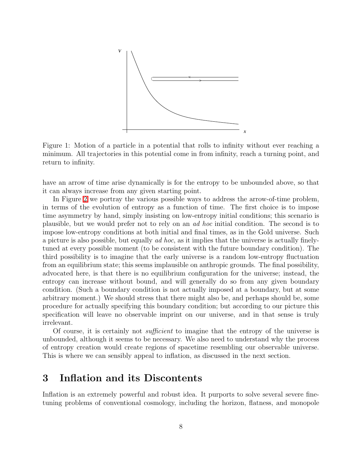

<span id="page-7-1"></span>Figure 1: Motion of a particle in a potential that rolls to infinity without ever reaching a minimum. All trajectories in this potential come in from infinity, reach a turning point, and return to infinity.

have an arrow of time arise dynamically is for the entropy to be unbounded above, so that it can always increase from any given starting point.

In Figure [2](#page-8-0) we portray the various possible ways to address the arrow-of-time problem, in terms of the evolution of entropy as a function of time. The first choice is to impose time asymmetry by hand, simply insisting on low-entropy initial conditions; this scenario is plausible, but we would prefer not to rely on an ad hoc initial condition. The second is to impose low-entropy conditions at both initial and final times, as in the Gold universe. Such a picture is also possible, but equally ad hoc, as it implies that the universe is actually finelytuned at every possible moment (to be consistent with the future boundary condition). The third possibility is to imagine that the early universe is a random low-entropy fluctuation from an equilibrium state; this seems implausible on anthropic grounds. The final possibility, advocated here, is that there is no equilibrium configuration for the universe; instead, the entropy can increase without bound, and will generally do so from any given boundary condition. (Such a boundary condition is not actually imposed at a boundary, but at some arbitrary moment.) We should stress that there might also be, and perhaps should be, some procedure for actually specifying this boundary condition; but according to our picture this specification will leave no observable imprint on our universe, and in that sense is truly irrelevant.

Of course, it is certainly not *sufficient* to imagine that the entropy of the universe is unbounded, although it seems to be necessary. We also need to understand why the process of entropy creation would create regions of spacetime resembling our observable universe. This is where we can sensibly appeal to inflation, as discussed in the next section.

## <span id="page-7-0"></span>3 Inflation and its Discontents

Inflation is an extremely powerful and robust idea. It purports to solve several severe finetuning problems of conventional cosmology, including the horizon, flatness, and monopole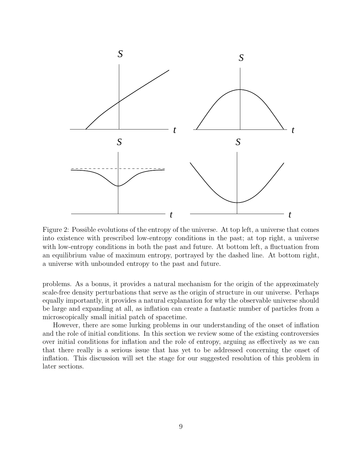

<span id="page-8-0"></span>Figure 2: Possible evolutions of the entropy of the universe. At top left, a universe that comes into existence with prescribed low-entropy conditions in the past; at top right, a universe with low-entropy conditions in both the past and future. At bottom left, a fluctuation from an equilibrium value of maximum entropy, portrayed by the dashed line. At bottom right, a universe with unbounded entropy to the past and future.

problems. As a bonus, it provides a natural mechanism for the origin of the approximately scale-free density perturbations that serve as the origin of structure in our universe. Perhaps equally importantly, it provides a natural explanation for why the observable universe should be large and expanding at all, as inflation can create a fantastic number of particles from a microscopically small initial patch of spacetime.

However, there are some lurking problems in our understanding of the onset of inflation and the role of initial conditions. In this section we review some of the existing controversies over initial conditions for inflation and the role of entropy, arguing as effectively as we can that there really is a serious issue that has yet to be addressed concerning the onset of inflation. This discussion will set the stage for our suggested resolution of this problem in later sections.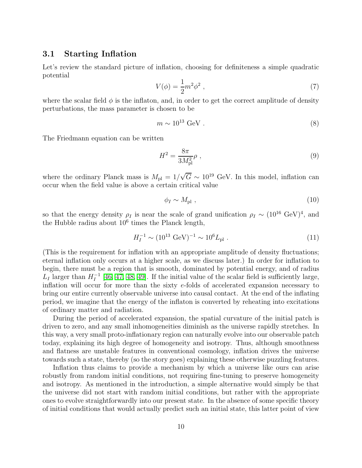### <span id="page-9-0"></span>3.1 Starting Inflation

Let's review the standard picture of inflation, choosing for definiteness a simple quadratic potential

$$
V(\phi) = \frac{1}{2}m^2\phi^2 \t{,} \t(7)
$$

where the scalar field  $\phi$  is the inflaton, and, in order to get the correct amplitude of density perturbations, the mass parameter is chosen to be

$$
m \sim 10^{13} \text{ GeV} \tag{8}
$$

The Friedmann equation can be written

$$
H^2 = \frac{8\pi}{3M_{\rm pl}^2}\rho \;, \tag{9}
$$

where the ordinary Planck mass is  $M_{\rm pl} = 1/\sqrt{G} \sim 10^{19}$  GeV. In this model, inflation can occur when the field value is above a certain critical value

<span id="page-9-1"></span>
$$
\phi_I \sim M_{\rm pl} \tag{10}
$$

so that the energy density  $\rho_I$  is near the scale of grand unification  $\rho_I \sim (10^{16} \text{ GeV})^4$ , and the Hubble radius about  $10^6$  times the Planck length,

<span id="page-9-2"></span>
$$
H_I^{-1} \sim (10^{13} \text{ GeV})^{-1} \sim 10^6 L_{\text{pl}} \tag{11}
$$

(This is the requirement for inflation with an appropriate amplitude of density fluctuations; eternal inflation only occurs at a higher scale, as we discuss later.) In order for inflation to begin, there must be a region that is smooth, dominated by potential energy, and of radius  $L_I$  larger than  $H_I^{-1}$  [\[46,](#page-32-14) [47,](#page-32-15) [48,](#page-32-16) [49\]](#page-32-17). If the initial value of the scalar field is sufficiently large, inflation will occur for more than the sixty e-folds of accelerated expansion necessary to bring our entire currently observable universe into causal contact. At the end of the inflating period, we imagine that the energy of the inflaton is converted by reheating into excitations of ordinary matter and radiation.

During the period of accelerated expansion, the spatial curvature of the initial patch is driven to zero, and any small inhomogeneities diminish as the universe rapidly stretches. In this way, a very small proto-inflationary region can naturally evolve into our observable patch today, explaining its high degree of homogeneity and isotropy. Thus, although smoothness and flatness are unstable features in conventional cosmology, inflation drives the universe towards such a state, thereby (so the story goes) explaining these otherwise puzzling features.

Inflation thus claims to provide a mechanism by which a universe like ours can arise robustly from random initial conditions, not requiring fine-tuning to preserve homogeneity and isotropy. As mentioned in the introduction, a simple alternative would simply be that the universe did not start with random initial conditions, but rather with the appropriate ones to evolve straightforwardly into our present state. In the absence of some specific theory of initial conditions that would actually predict such an initial state, this latter point of view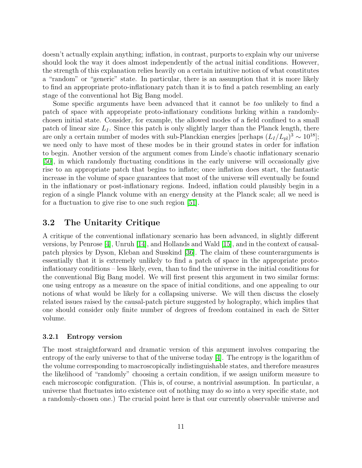doesn't actually explain anything; inflation, in contrast, purports to explain why our universe should look the way it does almost independently of the actual initial conditions. However, the strength of this explanation relies heavily on a certain intuitive notion of what constitutes a "random" or "generic" state. In particular, there is an assumption that it is more likely to find an appropriate proto-inflationary patch than it is to find a patch resembling an early stage of the conventional hot Big Bang model.

Some specific arguments have been advanced that it cannot be too unlikely to find a patch of space with appropriate proto-inflationary conditions lurking within a randomlychosen initial state. Consider, for example, the allowed modes of a field confined to a small patch of linear size  $L_I$ . Since this patch is only slightly larger than the Planck length, there are only a certain number of modes with sub-Planckian energies [perhaps  $(L_I/L_{pl})^3 \sim 10^{18}$ ]; we need only to have most of these modes be in their ground states in order for inflation to begin. Another version of the argument comes from Linde's chaotic inflationary scenario [\[50\]](#page-33-0), in which randomly fluctuating conditions in the early universe will occasionally give rise to an appropriate patch that begins to inflate; once inflation does start, the fantastic increase in the volume of space guarantees that most of the universe will eventually be found in the inflationary or post-inflationary regions. Indeed, inflation could plausibly begin in a region of a single Planck volume with an energy density at the Planck scale; all we need is for a fluctuation to give rise to one such region [\[51\]](#page-33-1).

### <span id="page-10-0"></span>3.2 The Unitarity Critique

A critique of the conventional inflationary scenario has been advanced, in slightly different versions, by Penrose [\[4\]](#page-30-3), Unruh [\[14\]](#page-30-13), and Hollands and Wald [\[15\]](#page-30-14), and in the context of causalpatch physics by Dyson, Kleban and Susskind [\[36\]](#page-32-4). The claim of these counterarguments is essentially that it is extremely unlikely to find a patch of space in the appropriate protoinflationary conditions – less likely, even, than to find the universe in the initial conditions for the conventional Big Bang model. We will first present this argument in two similar forms: one using entropy as a measure on the space of initial conditions, and one appealing to our notions of what would be likely for a collapsing universe. We will then discuss the closely related issues raised by the causal-patch picture suggested by holography, which implies that one should consider only finite number of degrees of freedom contained in each de Sitter volume.

#### <span id="page-10-1"></span>3.2.1 Entropy version

The most straightforward and dramatic version of this argument involves comparing the entropy of the early universe to that of the universe today [\[4\]](#page-30-3). The entropy is the logarithm of the volume corresponding to macroscopically indistinguishable states, and therefore measures the likelihood of "randomly" choosing a certain condition, if we assign uniform measure to each microscopic configuration. (This is, of course, a nontrivial assumption. In particular, a universe that fluctuates into existence out of nothing may do so into a very specific state, not a randomly-chosen one.) The crucial point here is that our currently observable universe and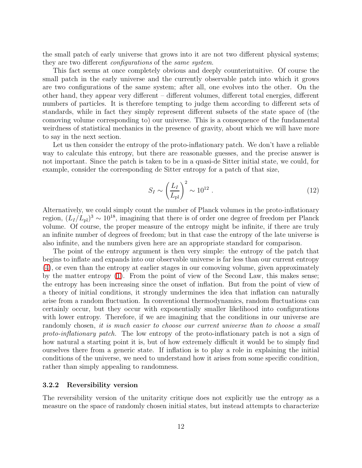the small patch of early universe that grows into it are not two different physical systems; they are two different *configurations* of the *same system*.

This fact seems at once completely obvious and deeply counterintuitive. Of course the small patch in the early universe and the currently observable patch into which it grows are two configurations of the same system; after all, one evolves into the other. On the other hand, they appear very different – different volumes, different total energies, different numbers of particles. It is therefore tempting to judge them according to different sets of standards, while in fact they simply represent different subsets of the state space of (the comoving volume corresponding to) our universe. This is a consequence of the fundamental weirdness of statistical mechanics in the presence of gravity, about which we will have more to say in the next section.

Let us then consider the entropy of the proto-inflationary patch. We don't have a reliable way to calculate this entropy, but there are reasonable guesses, and the precise answer is not important. Since the patch is taken to be in a quasi-de Sitter initial state, we could, for example, consider the corresponding de Sitter entropy for a patch of that size,

$$
S_I \sim \left(\frac{L_I}{L_{\rm pl}}\right)^2 \sim 10^{12} \ . \tag{12}
$$

Alternatively, we could simply count the number of Planck volumes in the proto-inflationary region,  $(L_I/L_{\rm pl})^3 \sim 10^{18}$ , imagining that there is of order one degree of freedom per Planck volume. Of course, the proper measure of the entropy might be infinite, if there are truly an infinite number of degrees of freedom; but in that case the entropy of the late universe is also infinite, and the numbers given here are an appropriate standard for comparison.

The point of the entropy argument is then very simple: the entropy of the patch that begins to inflate and expands into our observable universe is far less than our current entropy [\(4\)](#page-3-0), or even than the entropy at earlier stages in our comoving volume, given approximately by the matter entropy [\(1\)](#page-2-1). From the point of view of the Second Law, this makes sense; the entropy has been increasing since the onset of inflation. But from the point of view of a theory of initial conditions, it strongly undermines the idea that inflation can naturally arise from a random fluctuation. In conventional thermodynamics, random fluctuations can certainly occur, but they occur with exponentially smaller likelihood into configurations with lower entropy. Therefore, if we are imagining that the conditions in our universe are randomly chosen, it is much easier to choose our current universe than to choose a small proto-inflationary patch. The low entropy of the proto-inflationary patch is not a sign of how natural a starting point it is, but of how extremely difficult it would be to simply find ourselves there from a generic state. If inflation is to play a role in explaining the initial conditions of the universe, we need to understand how it arises from some specific condition, rather than simply appealing to randomness.

#### <span id="page-11-0"></span>3.2.2 Reversibility version

The reversibility version of the unitarity critique does not explicitly use the entropy as a measure on the space of randomly chosen initial states, but instead attempts to characterize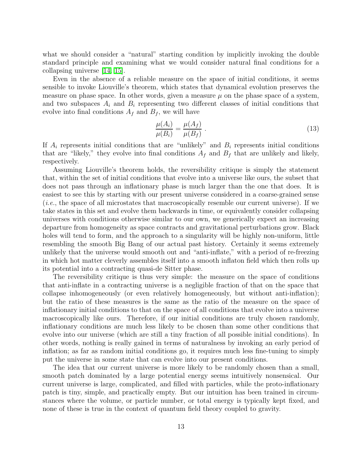what we should consider a "natural" starting condition by implicitly invoking the double standard principle and examining what we would consider natural final conditions for a collapsing universe [\[14,](#page-30-13) [15\]](#page-30-14).

Even in the absence of a reliable measure on the space of initial conditions, it seems sensible to invoke Liouville's theorem, which states that dynamical evolution preserves the measure on phase space. In other words, given a measure  $\mu$  on the phase space of a system, and two subspaces  $A_i$  and  $B_i$  representing two different classes of initial conditions that evolve into final conditions  $A_f$  and  $B_f$ , we will have

$$
\frac{\mu(A_i)}{\mu(B_i)} = \frac{\mu(A_f)}{\mu(B_f)}.
$$
\n(13)

If  $A_i$  represents initial conditions that are "unlikely" and  $B_i$  represents initial conditions that are "likely," they evolve into final conditions  $A_f$  and  $B_f$  that are unlikely and likely, respectively.

Assuming Liouville's theorem holds, the reversibility critique is simply the statement that, within the set of initial conditions that evolve into a universe like ours, the subset that does not pass through an inflationary phase is much larger than the one that does. It is easiest to see this by starting with our present universe considered in a coarse-grained sense (i.e., the space of all microstates that macroscopically resemble our current universe). If we take states in this set and evolve them backwards in time, or equivalently consider collapsing universes with conditions otherwise similar to our own, we generically expect an increasing departure from homogeneity as space contracts and gravitational perturbations grow. Black holes will tend to form, and the approach to a singularity will be highly non-uniform, little resembling the smooth Big Bang of our actual past history. Certainly it seems extremely unlikely that the universe would smooth out and "anti-inflate," with a period of re-freezing in which hot matter cleverly assembles itself into a smooth inflaton field which then rolls up its potential into a contracting quasi-de Sitter phase.

The reversibility critique is thus very simple: the measure on the space of conditions that anti-inflate in a contracting universe is a negligible fraction of that on the space that collapse inhomogeneously (or even relatively homogeneously, but without anti-inflation); but the ratio of these measures is the same as the ratio of the measure on the space of inflationary initial conditions to that on the space of all conditions that evolve into a universe macroscopically like ours. Therefore, if our initial conditions are truly chosen randomly, inflationary conditions are much less likely to be chosen than some other conditions that evolve into our universe (which are still a tiny fraction of all possible initial conditions). In other words, nothing is really gained in terms of naturalness by invoking an early period of inflation; as far as random initial conditions go, it requires much less fine-tuning to simply put the universe in some state that can evolve into our present conditions.

The idea that our current universe is more likely to be randomly chosen than a small, smooth patch dominated by a large potential energy seems intuitively nonsensical. Our current universe is large, complicated, and filled with particles, while the proto-inflationary patch is tiny, simple, and practically empty. But our intuition has been trained in circumstances where the volume, or particle number, or total energy is typically kept fixed, and none of these is true in the context of quantum field theory coupled to gravity.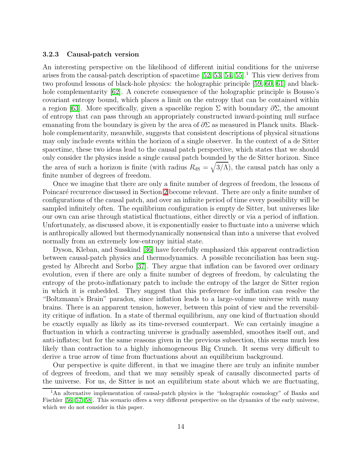#### <span id="page-13-0"></span>3.2.3 Causal-patch version

An interesting perspective on the likelihood of different initial conditions for the universe arises from the causal-patch description of spacetime  $[52, 53, 54, 55]$  $[52, 53, 54, 55]$  $[52, 53, 54, 55]$  $[52, 53, 54, 55]$ .<sup>1</sup> This view derives from two profound lessons of black-hole physics: the holographic principle [\[59,](#page-33-6) [60,](#page-33-7) [61\]](#page-33-8) and blackhole complementarity  $\lceil 62 \rceil$ . A concrete consequence of the holographic principle is Bousso's covariant entropy bound, which places a limit on the entropy that can be contained within a region [\[63\]](#page-33-10). More specifically, given a spacelike region  $\Sigma$  with boundary  $\partial \Sigma$ , the amount of entropy that can pass through an appropriately constructed inward-pointing null surface emanating from the boundary is given by the area of  $\partial \Sigma$  as measured in Planck units. Blackhole complementarity, meanwhile, suggests that consistent descriptions of physical situations may only include events within the horizon of a single observer. In the context of a de Sitter spacetime, these two ideas lead to the causal patch perspective, which states that we should only consider the physics inside a single causal patch bounded by the de Sitter horizon. Since the area of such a horizon is finite (with radius  $R_{\text{dS}} = \sqrt{3/\Lambda}$ ), the causal patch has only a finite number of degrees of freedom.

Once we imagine that there are only a finite number of degrees of freedom, the lessons of Poincaré recurrence discussed in Section [2](#page-4-0) become relevant. There are only a finite number of configurations of the causal patch, and over an infinite period of time every possibility will be sampled infinitely often. The equilibrium configuration is empty de Sitter, but universes like our own can arise through statistical fluctuations, either directly or via a period of inflation. Unfortunately, as discussed above, it is exponentially easier to fluctuate into a universe which is anthropically allowed but thermodynamically nonsensical than into a universe that evolved normally from an extremely low-entropy initial state.

Dyson, Kleban, and Susskind [\[36\]](#page-32-4) have forcefully emphasized this apparent contradiction between causal-patch physics and thermodynamics. A possible reconciliation has been suggested by Albrecht and Sorbo [\[37\]](#page-32-5). They argue that inflation can be favored over ordinary evolution, even if there are only a finite number of degrees of freedom, by calculating the entropy of the proto-inflationary patch to include the entropy of the larger de Sitter region in which it is embedded. They suggest that this preference for inflation can resolve the "Boltzmann's Brain" paradox, since inflation leads to a large-volume universe with many brains. There is an apparent tension, however, between this point of view and the reversibility critique of inflation. In a state of thermal equilibrium, any one kind of fluctuation should be exactly equally as likely as its time-reversed counterpart. We can certainly imagine a fluctuation in which a contracting universe is gradually assembled, smoothes itself out, and anti-inflates; but for the same reasons given in the previous subsection, this seems much less likely than contraction to a highly inhomogeneous Big Crunch. It seems very difficult to derive a true arrow of time from fluctuations about an equilibrium background.

Our perspective is quite different, in that we imagine there are truly an infinite number of degrees of freedom, and that we may sensibly speak of causally disconnected parts of the universe. For us, de Sitter is not an equilibrium state about which we are fluctuating,

<sup>1</sup>An alternative implementation of causal-patch physics is the "holographic cosmology" of Banks and Fischler [\[56,](#page-33-11) [57,](#page-33-12) [58\]](#page-33-13). This scenario offers a very different perspective on the dynamics of the early universe, which we do not consider in this paper.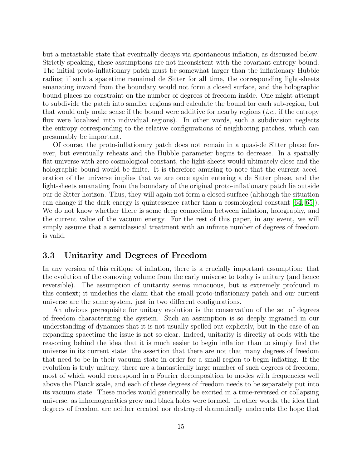but a metastable state that eventually decays via spontaneous inflation, as discussed below. Strictly speaking, these assumptions are not inconsistent with the covariant entropy bound. The initial proto-inflationary patch must be somewhat larger than the inflationary Hubble radius; if such a spacetime remained de Sitter for all time, the corresponding light-sheets emanating inward from the boundary would not form a closed surface, and the holographic bound places no constraint on the number of degrees of freedom inside. One might attempt to subdivide the patch into smaller regions and calculate the bound for each sub-region, but that would only make sense if the bound were additive for nearby regions  $(i.e.,$  if the entropy flux were localized into individual regions). In other words, such a subdivision neglects the entropy corresponding to the relative configurations of neighboring patches, which can presumably be important.

Of course, the proto-inflationary patch does not remain in a quasi-de Sitter phase forever, but eventually reheats and the Hubble parameter begins to decrease. In a spatially flat universe with zero cosmological constant, the light-sheets would ultimately close and the holographic bound would be finite. It is therefore amusing to note that the current acceleration of the universe implies that we are once again entering a de Sitter phase, and the light-sheets emanating from the boundary of the original proto-inflationary patch lie outside our de Sitter horizon. Thus, they will again not form a closed surface (although the situation can change if the dark energy is quintessence rather than a cosmological constant  $(64, 65)$ . We do not know whether there is some deep connection between inflation, holography, and the current value of the vacuum energy. For the rest of this paper, in any event, we will simply assume that a semiclassical treatment with an infinite number of degrees of freedom is valid.

### <span id="page-14-0"></span>3.3 Unitarity and Degrees of Freedom

In any version of this critique of inflation, there is a crucially important assumption: that the evolution of the comoving volume from the early universe to today is unitary (and hence reversible). The assumption of unitarity seems innocuous, but is extremely profound in this context; it underlies the claim that the small proto-inflationary patch and our current universe are the same system, just in two different configurations.

An obvious prerequisite for unitary evolution is the conservation of the set of degrees of freedom characterizing the system. Such an assumption is so deeply ingrained in our understanding of dynamics that it is not usually spelled out explicitly, but in the case of an expanding spacetime the issue is not so clear. Indeed, unitarity is directly at odds with the reasoning behind the idea that it is much easier to begin inflation than to simply find the universe in its current state: the assertion that there are not that many degrees of freedom that need to be in their vacuum state in order for a small region to begin inflating. If the evolution is truly unitary, there are a fantastically large number of such degrees of freedom, most of which would correspond in a Fourier decomposition to modes with frequencies well above the Planck scale, and each of these degrees of freedom needs to be separately put into its vacuum state. These modes would generically be excited in a time-reversed or collapsing universe, as inhomogeneities grew and black holes were formed. In other words, the idea that degrees of freedom are neither created nor destroyed dramatically undercuts the hope that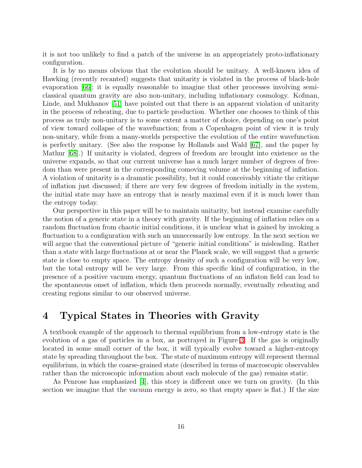it is not too unlikely to find a patch of the universe in an appropriately proto-inflationary configuration.

It is by no means obvious that the evolution should be unitary. A well-known idea of Hawking (recently recanted) suggests that unitarity is violated in the process of black-hole evaporation [\[66\]](#page-33-16); it is equally reasonable to imagine that other processes involving semiclassical quantum gravity are also non-unitary, including inflationary cosmology. Kofman, Linde, and Mukhanov [\[51\]](#page-33-1) have pointed out that there is an apparent violation of unitarity in the process of reheating, due to particle production. Whether one chooses to think of this process as truly non-unitary is to some extent a matter of choice, depending on one's point of view toward collapse of the wavefunction; from a Copenhagen point of view it is truly non-unitary, while from a many-worlds perspective the evolution of the entire wavefunction is perfectly unitary. (See also the response by Hollands and Wald [\[67\]](#page-33-17), and the paper by Mathur [\[68\]](#page-33-18).) If unitarity is violated, degrees of freedom are brought into existence as the universe expands, so that our current universe has a much larger number of degrees of freedom than were present in the corresponding comoving volume at the beginning of inflation. A violation of unitarity is a dramatic possibility, but it could conceivably vitiate the critique of inflation just discussed; if there are very few degrees of freedom initially in the system, the initial state may have an entropy that is nearly maximal even if it is much lower than the entropy today.

Our perspective in this paper will be to maintain unitarity, but instead examine carefully the notion of a generic state in a theory with gravity. If the beginning of inflation relies on a random fluctuation from chaotic initial conditions, it is unclear what is gained by invoking a fluctuation to a configuration with such an unnecessarily low entropy. In the next section we will argue that the conventional picture of "generic initial conditions" is misleading. Rather than a state with large fluctuations at or near the Planck scale, we will suggest that a generic state is close to empty space. The entropy density of such a configuration will be very low, but the total entropy will be very large. From this specific kind of configuration, in the presence of a positive vacuum energy, quantum fluctuations of an inflaton field can lead to the spontaneous onset of inflation, which then proceeds normally, eventually reheating and creating regions similar to our observed universe.

## <span id="page-15-0"></span>4 Typical States in Theories with Gravity

A textbook example of the approach to thermal equilibrium from a low-entropy state is the evolution of a gas of particles in a box, as portrayed in Figure [3.](#page-16-0) If the gas is originally located in some small corner of the box, it will typically evolve toward a higher-entropy state by spreading throughout the box. The state of maximum entropy will represent thermal equilibrium, in which the coarse-grained state (described in terms of macroscopic observables rather than the microscopic information about each molecule of the gas) remains static.

As Penrose has emphasized [\[4\]](#page-30-3), this story is different once we turn on gravity. (In this section we imagine that the vacuum energy is zero, so that empty space is flat.) If the size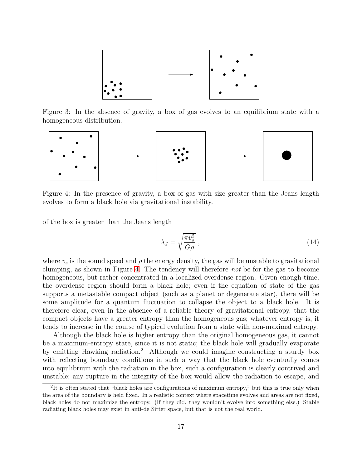

<span id="page-16-0"></span>Figure 3: In the absence of gravity, a box of gas evolves to an equilibrium state with a homogeneous distribution.



<span id="page-16-1"></span>Figure 4: In the presence of gravity, a box of gas with size greater than the Jeans length evolves to form a black hole via gravitational instability.

of the box is greater than the Jeans length

$$
\lambda_J = \sqrt{\frac{\pi v_s^2}{G\rho}} \,,\tag{14}
$$

where  $v_s$  is the sound speed and  $\rho$  the energy density, the gas will be unstable to gravitational clumping, as shown in Figure [4.](#page-16-1) The tendency will therefore not be for the gas to become homogeneous, but rather concentrated in a localized overdense region. Given enough time, the overdense region should form a black hole; even if the equation of state of the gas supports a metastable compact object (such as a planet or degenerate star), there will be some amplitude for a quantum fluctuation to collapse the object to a black hole. It is therefore clear, even in the absence of a reliable theory of gravitational entropy, that the compact objects have a greater entropy than the homogeneous gas; whatever entropy is, it tends to increase in the course of typical evolution from a state with non-maximal entropy.

Although the black hole is higher entropy than the original homogeneous gas, it cannot be a maximum-entropy state, since it is not static; the black hole will gradually evaporate by emitting Hawking radiation.<sup>2</sup> Although we could imagine constructing a sturdy box with reflecting boundary conditions in such a way that the black hole eventually comes into equilibrium with the radiation in the box, such a configuration is clearly contrived and unstable; any rupture in the integrity of the box would allow the radiation to escape, and

<sup>&</sup>lt;sup>2</sup>It is often stated that "black holes are configurations of maximum entropy," but this is true only when the area of the boundary is held fixed. In a realistic context where spacetime evolves and areas are not fixed, black holes do not maximize the entropy. (If they did, they wouldn't evolve into something else.) Stable radiating black holes may exist in anti-de Sitter space, but that is not the real world.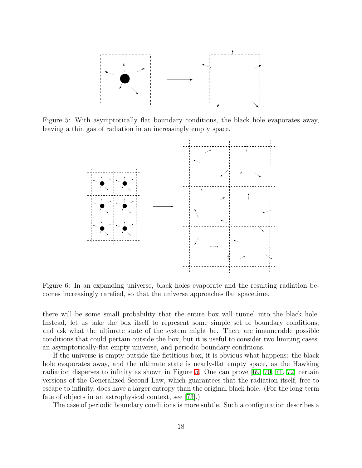

<span id="page-17-0"></span>Figure 5: With asymptotically flat boundary conditions, the black hole evaporates away, leaving a thin gas of radiation in an increasingly empty space.



<span id="page-17-1"></span>Figure 6: In an expanding universe, black holes evaporate and the resulting radiation becomes increasingly rarefied, so that the universe approaches flat spacetime.

there will be some small probability that the entire box will tunnel into the black hole. Instead, let us take the box itself to represent some simple set of boundary conditions, and ask what the ultimate state of the system might be. There are innumerable possible conditions that could pertain outside the box, but it is useful to consider two limiting cases: an asymptotically-flat empty universe, and periodic boundary conditions.

If the universe is empty outside the fictitious box, it is obvious what happens: the black hole evaporates away, and the ultimate state is nearly-flat empty space, as the Hawking radiation disperses to infinity as shown in Figure [5.](#page-17-0) One can prove [\[69,](#page-34-0) [70,](#page-34-1) [71,](#page-34-2) [72\]](#page-34-3) certain versions of the Generalized Second Law, which guarantees that the radiation itself, free to escape to infinity, does have a larger entropy than the original black hole. (For the long-term fate of objects in an astrophysical context, see [\[73\]](#page-34-4).)

The case of periodic boundary conditions is more subtle. Such a configuration describes a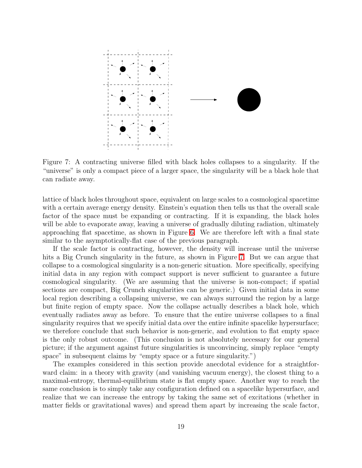

<span id="page-18-0"></span>Figure 7: A contracting universe filled with black holes collapses to a singularity. If the "universe" is only a compact piece of a larger space, the singularity will be a black hole that can radiate away.

lattice of black holes throughout space, equivalent on large scales to a cosmological spacetime with a certain average energy density. Einstein's equation then tells us that the overall scale factor of the space must be expanding or contracting. If it is expanding, the black holes will be able to evaporate away, leaving a universe of gradually diluting radiation, ultimately approaching flat spacetime, as shown in Figure [6.](#page-17-1) We are therefore left with a final state similar to the asymptotically-flat case of the previous paragraph.

If the scale factor is contracting, however, the density will increase until the universe hits a Big Crunch singularity in the future, as shown in Figure [7.](#page-18-0) But we can argue that collapse to a cosmological singularity is a non-generic situation. More specifically, specifying initial data in any region with compact support is never sufficient to guarantee a future cosmological singularity. (We are assuming that the universe is non-compact; if spatial sections are compact, Big Crunch singularities can be generic.) Given initial data in some local region describing a collapsing universe, we can always surround the region by a large but finite region of empty space. Now the collapse actually describes a black hole, which eventually radiates away as before. To ensure that the entire universe collapses to a final singularity requires that we specify initial data over the entire infinite spacelike hypersurface; we therefore conclude that such behavior is non-generic, and evolution to flat empty space is the only robust outcome. (This conclusion is not absolutely necessary for our general picture; if the argument against future singularities is unconvincing, simply replace "empty space" in subsequent claims by "empty space or a future singularity.")

The examples considered in this section provide anecdotal evidence for a straightforward claim: in a theory with gravity (and vanishing vacuum energy), the closest thing to a maximal-entropy, thermal-equilibrium state is flat empty space. Another way to reach the same conclusion is to simply take any configuration defined on a spacelike hypersurface, and realize that we can increase the entropy by taking the same set of excitations (whether in matter fields or gravitational waves) and spread them apart by increasing the scale factor,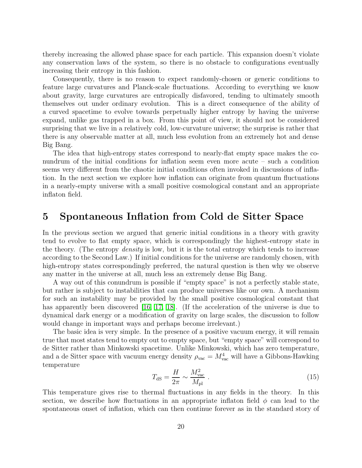thereby increasing the allowed phase space for each particle. This expansion doesn't violate any conservation laws of the system, so there is no obstacle to configurations eventually increasing their entropy in this fashion.

Consequently, there is no reason to expect randomly-chosen or generic conditions to feature large curvatures and Planck-scale fluctuations. According to everything we know about gravity, large curvatures are entropically disfavored, tending to ultimately smooth themselves out under ordinary evolution. This is a direct consequence of the ability of a curved spacetime to evolve towards perpetually higher entropy by having the universe expand, unlike gas trapped in a box. From this point of view, it should not be considered surprising that we live in a relatively cold, low-curvature universe; the surprise is rather that there is any observable matter at all, much less evolution from an extremely hot and dense Big Bang.

The idea that high-entropy states correspond to nearly-flat empty space makes the conundrum of the initial conditions for inflation seem even more acute – such a condition seems very different from the chaotic initial conditions often invoked in discussions of inflation. In the next section we explore how inflation can originate from quantum fluctuations in a nearly-empty universe with a small positive cosmological constant and an appropriate inflaton field.

## <span id="page-19-0"></span>5 Spontaneous Inflation from Cold de Sitter Space

In the previous section we argued that generic initial conditions in a theory with gravity tend to evolve to flat empty space, which is correspondingly the highest-entropy state in the theory. (The entropy density is low, but it is the total entropy which tends to increase according to the Second Law.) If initial conditions for the universe are randomly chosen, with high-entropy states correspondingly preferred, the natural question is then why we observe any matter in the universe at all, much less an extremely dense Big Bang.

A way out of this conundrum is possible if "empty space" is not a perfectly stable state, but rather is subject to instabilities that can produce universes like our own. A mechanism for such an instability may be provided by the small positive cosmological constant that has apparently been discovered  $(16, 17, 18)$  $(16, 17, 18)$  $(16, 17, 18)$ . (If the acceleration of the universe is due to dynamical dark energy or a modification of gravity on large scales, the discussion to follow would change in important ways and perhaps become irrelevant.)

The basic idea is very simple. In the presence of a positive vacuum energy, it will remain true that most states tend to empty out to empty space, but "empty space" will correspond to de Sitter rather than Minkowski spacetime. Unlike Minkowski, which has zero temperature, and a de Sitter space with vacuum energy density  $\rho_{\text{vac}} = M_{\text{vac}}^4$  will have a Gibbons-Hawking temperature

<span id="page-19-1"></span>
$$
T_{\rm dS} = \frac{H}{2\pi} \sim \frac{M_{\rm vac}^2}{M_{\rm pl}}\,. \tag{15}
$$

This temperature gives rise to thermal fluctuations in any fields in the theory. In this section, we describe how fluctuations in an appropriate inflaton field  $\phi$  can lead to the spontaneous onset of inflation, which can then continue forever as in the standard story of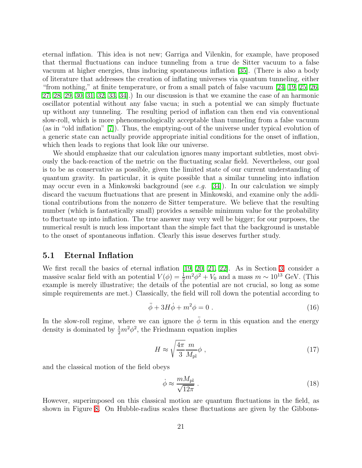eternal inflation. This idea is not new; Garriga and Vilenkin, for example, have proposed that thermal fluctuations can induce tunneling from a true de Sitter vacuum to a false vacuum at higher energies, thus inducing spontaneous inflation [\[35\]](#page-32-3). (There is also a body of literature that addresses the creation of inflating universes via quantum tunneling, either "from nothing," at finite temperature, or from a small patch of false vacuum [\[24,](#page-31-8) [19,](#page-31-3) [25,](#page-31-9) [26,](#page-31-10) [27,](#page-31-11) [28,](#page-31-12) [29,](#page-31-13) [30,](#page-31-14) [31,](#page-31-15) [32,](#page-32-0) [33,](#page-32-1) [34\]](#page-32-2).) In our discussion is that we examine the case of an harmonic oscillator potential without any false vacua; in such a potential we can simply fluctuate up without any tunneling. The resulting period of inflation can then end via conventional slow-roll, which is more phenomenologically acceptable than tunneling from a false vacuum (as in "old inflation" [\[7\]](#page-30-6)). Thus, the emptying-out of the universe under typical evolution of a generic state can actually provide appropriate initial conditions for the onset of inflation, which then leads to regions that look like our universe.

We should emphasize that our calculation ignores many important subtleties, most obviously the back-reaction of the metric on the fluctuating scalar field. Nevertheless, our goal is to be as conservative as possible, given the limited state of our current understanding of quantum gravity. In particular, it is quite possible that a similar tunneling into inflation may occur even in a Minkowski background (see e.g. [\[34\]](#page-32-2)). In our calculation we simply discard the vacuum fluctuations that are present in Minkowski, and examine only the additional contributions from the nonzero de Sitter temperature. We believe that the resulting number (which is fantastically small) provides a sensible minimum value for the probability to fluctuate up into inflation. The true answer may very well be bigger; for our purposes, the numerical result is much less important than the simple fact that the background is unstable to the onset of spontaneous inflation. Clearly this issue deserves further study.

### <span id="page-20-0"></span>5.1 Eternal Inflation

We first recall the basics of eternal inflation [\[19,](#page-31-3) [20,](#page-31-4) [21,](#page-31-5) [22\]](#page-31-6). As in Section [3,](#page-7-0) consider a massive scalar field with an potential  $V(\phi) = \frac{1}{2}m^2\phi^2 + V_0$  and a mass  $m \sim 10^{13}$  GeV. (This example is merely illustrative; the details of the potential are not crucial, so long as some simple requirements are met.) Classically, the field will roll down the potential according to

$$
\ddot{\phi} + 3H\dot{\phi} + m^2\phi = 0.
$$
\n(16)

In the slow-roll regime, where we can ignore the  $\ddot{\phi}$  term in this equation and the energy density is dominated by  $\frac{1}{2}m^2\phi^2$ , the Friedmann equation implies

$$
H \approx \sqrt{\frac{4\pi}{3}} \frac{m}{M_{\rm pl}} \phi \;, \tag{17}
$$

and the classical motion of the field obeys

$$
\dot{\phi} \approx \frac{mM_{\rm pl}}{\sqrt{12\pi}} \ . \tag{18}
$$

However, superimposed on this classical motion are quantum fluctuations in the field, as shown in Figure [8.](#page-21-1) On Hubble-radius scales these fluctuations are given by the Gibbons-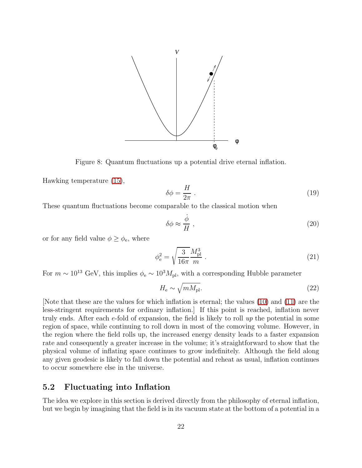

<span id="page-21-1"></span>Figure 8: Quantum fluctuations up a potential drive eternal inflation.

Hawking temperature [\(15\)](#page-19-1),

$$
\delta \phi = \frac{H}{2\pi} \ . \tag{19}
$$

These quantum fluctuations become comparable to the classical motion when

$$
\delta\phi \approx \frac{\dot{\phi}}{H} \,,\tag{20}
$$

or for any field value  $\phi \geq \phi_{\rm e}$ , where

<span id="page-21-2"></span>
$$
\phi_{\rm e}^2 = \sqrt{\frac{3}{16\pi}} \frac{M_{\rm pl}^3}{m} \,. \tag{21}
$$

For  $m \sim 10^{13}$  GeV, this implies  $\phi_e \sim 10^3 M_{pl}$ , with a corresponding Hubble parameter

$$
H_{\rm e} \sim \sqrt{m M_{\rm pl}}.\tag{22}
$$

[Note that these are the values for which inflation is eternal; the values [\(10\)](#page-9-1) and [\(11\)](#page-9-2) are the less-stringent requirements for ordinary inflation.] If this point is reached, inflation never truly ends. After each  $e$ -fold of expansion, the field is likely to roll  $up$  the potential in some region of space, while continuing to roll down in most of the comoving volume. However, in the region where the field rolls up, the increased energy density leads to a faster expansion rate and consequently a greater increase in the volume; it's straightforward to show that the physical volume of inflating space continues to grow indefinitely. Although the field along any given geodesic is likely to fall down the potential and reheat as usual, inflation continues to occur somewhere else in the universe.

### <span id="page-21-0"></span>5.2 Fluctuating into Inflation

The idea we explore in this section is derived directly from the philosophy of eternal inflation, but we begin by imagining that the field is in its vacuum state at the bottom of a potential in a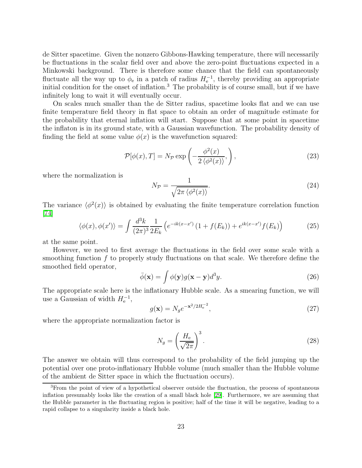de Sitter spacetime. Given the nonzero Gibbons-Hawking temperature, there will necessarily be fluctuations in the scalar field over and above the zero-point fluctuations expected in a Minkowski background. There is therefore some chance that the field can spontaneously fluctuate all the way up to  $\phi_e$  in a patch of radius  $H_e^{-1}$ , thereby providing an appropriate initial condition for the onset of inflation.<sup>3</sup> The probability is of course small, but if we have infinitely long to wait it will eventually occur.

On scales much smaller than the de Sitter radius, spacetime looks flat and we can use finite temperature field theory in flat space to obtain an order of magnitude estimate for the probability that eternal inflation will start. Suppose that at some point in spacetime the inflaton is in its ground state, with a Gaussian wavefunction. The probability density of finding the field at some value  $\phi(x)$  is the wavefunction squared:

<span id="page-22-1"></span>
$$
\mathcal{P}[\phi(x),T] = N_{\mathcal{P}} \exp\left(-\frac{\phi^2(x)}{2\left\langle \phi^2(x) \right\rangle},\right),\tag{23}
$$

where the normalization is

$$
N_{\mathcal{P}} = \frac{1}{\sqrt{2\pi \left\langle \phi^2(x) \right\rangle}}.\tag{24}
$$

<span id="page-22-0"></span>The variance  $\langle \phi^2(x) \rangle$  is obtained by evaluating the finite temperature correlation function [\[74\]](#page-34-5)

$$
\langle \phi(x), \phi(x') \rangle = \int \frac{d^3k}{(2\pi)^3} \frac{1}{2E_k} \left( e^{-ik(x-x')} \left( 1 + f(E_k) \right) + e^{ik(x-x')} f(E_k) \right) \tag{25}
$$

at the same point.

However, we need to first average the fluctuations in the field over some scale with a smoothing function f to properly study fluctuations on that scale. We therefore define the smoothed field operator,

$$
\bar{\phi}(\mathbf{x}) = \int \phi(\mathbf{y}) g(\mathbf{x} - \mathbf{y}) d^3 y.
$$
 (26)

The appropriate scale here is the inflationary Hubble scale. As a smearing function, we will use a Gaussian of width  $H_{e}^{-1}$ ,

$$
g(\mathbf{x}) = N_g e^{-\mathbf{x}^2/2H_e^{-2}},\tag{27}
$$

where the appropriate normalization factor is

$$
N_g = \left(\frac{H_e}{\sqrt{2\pi}}\right)^3.
$$
\n(28)

The answer we obtain will thus correspond to the probability of the field jumping up the potential over one proto-inflationary Hubble volume (much smaller than the Hubble volume of the ambient de Sitter space in which the fluctuation occurs).

<sup>3</sup>From the point of view of a hypothetical observer outside the fluctuation, the process of spontaneous inflation presumably looks like the creation of a small black hole [\[29\]](#page-31-13). Furthermore, we are assuming that the Hubble parameter in the fluctuating region is positive; half of the time it will be negative, leading to a rapid collapse to a singularity inside a black hole.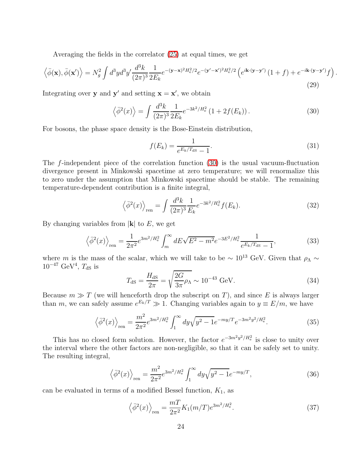Averaging the fields in the correlator [\(25\)](#page-22-0) at equal times, we get

$$
\left\langle \bar{\phi}(\mathbf{x}), \bar{\phi}(\mathbf{x}') \right\rangle = N_g^2 \int d^3y d^3y' \frac{d^3k}{(2\pi)^3} \frac{1}{2E_k} e^{-(\mathbf{y} - \mathbf{x})^2 H_e^2/2} e^{-(\mathbf{y}' - \mathbf{x}')^2 H_e^2/2} \left( e^{i\mathbf{k} \cdot (\mathbf{y} - \mathbf{y}')} \left( 1 + f \right) + e^{-i\mathbf{k} \cdot (\mathbf{y} - \mathbf{y}')} f \right).
$$
\n(29)

<span id="page-23-0"></span>Integrating over **y** and **y'** and setting  $\mathbf{x} = \mathbf{x}'$ , we obtain

$$
\left\langle \bar{\phi}^2(x) \right\rangle = \int \frac{d^3k}{(2\pi)^3} \frac{1}{2E_k} e^{-3k^2/H_e^2} \left( 1 + 2f(E_k) \right). \tag{30}
$$

For bosons, the phase space density is the Bose-Einstein distribution,

$$
f(E_k) = \frac{1}{e^{E_k/T_{\text{dS}}} - 1}.
$$
\n(31)

The f-independent piece of the correlation function [\(30\)](#page-23-0) is the usual vacuum-fluctuation divergence present in Minkowski spacetime at zero temperature; we will renormalize this to zero under the assumption that Minkowski spacetime should be stable. The remaining temperature-dependent contribution is a finite integral,

$$
\left\langle \bar{\phi}^2(x) \right\rangle_{\text{ren}} = \int \frac{d^3k}{(2\pi)^3} \frac{1}{E_k} e^{-3k^2/H_e^2} f(E_k). \tag{32}
$$

By changing variables from  $|\mathbf{k}|$  to E, we get

$$
\left\langle \bar{\phi}^2(x) \right\rangle_{\text{ren}} = \frac{1}{2\pi^2} e^{3m^2/H_e^2} \int_m^\infty dE \sqrt{E^2 - m^2} e^{-3E^2/H_e^2} \frac{1}{e^{E_k/T_{\text{dS}}} - 1},\tag{33}
$$

where m is the mass of the scalar, which we will take to be  $\sim 10^{13}$  GeV. Given that  $\rho_{\Lambda} \sim$  $10^{-47}$  GeV<sup>4</sup>,  $T_{\rm dS}$  is

$$
T_{\rm dS} = \frac{H_{\rm dS}}{2\pi} = \sqrt{\frac{2G}{3\pi}} \rho_{\Lambda} \sim 10^{-43} \text{ GeV}.
$$
 (34)

Because  $m \gg T$  (we will henceforth drop the subscript on T), and since E is always larger than m, we can safely assume  $e^{E_k/T} \gg 1$ . Changing variables again to  $y \equiv E/m$ , we have

$$
\left\langle \bar{\phi}^2(x) \right\rangle_{\text{ren}} = \frac{m^2}{2\pi^2} e^{3m^2/H_e^2} \int_1^\infty dy \sqrt{y^2 - 1} e^{-my/T} e^{-3m^2 y^2/H_e^2}.
$$
 (35)

This has no closed form solution. However, the factor  $e^{-3m^2y^2/H_e^2}$  is close to unity over the interval where the other factors are non-negligible, so that it can be safely set to unity. The resulting integral,

$$
\left\langle \bar{\phi}^2(x) \right\rangle_{\text{ren}} = \frac{m^2}{2\pi^2} e^{3m^2/H_e^2} \int_1^\infty dy \sqrt{y^2 - 1} e^{-my/T},\tag{36}
$$

can be evaluated in terms of a modified Bessel function,  $K_1$ , as

$$
\left\langle \bar{\phi}^2(x) \right\rangle_{\text{ren}} = \frac{m}{2\pi^2} K_1(m/T) e^{3m^2/H_e^2}.
$$
 (37)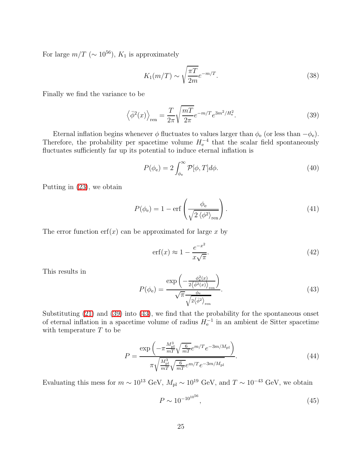For large  $m/T$  ( $\sim 10^{56}$ ),  $K_1$  is approximately

$$
K_1(m/T) \sim \sqrt{\frac{\pi T}{2m}} e^{-m/T}.
$$
\n(38)

<span id="page-24-0"></span>Finally we find the variance to be

$$
\left\langle \bar{\phi}^2(x) \right\rangle_{\text{ren}} = \frac{T}{2\pi} \sqrt{\frac{m}{2\pi}} e^{-m/T} e^{3m^2/H_e^2}.
$$
\n(39)

Eternal inflation begins whenever  $\phi$  fluctuates to values larger than  $\phi_e$  (or less than  $-\phi_e$ ). Therefore, the probability per spacetime volume  $H_{\rm e}^{-4}$  that the scalar field spontaneously fluctuates sufficiently far up its potential to induce eternal inflation is

$$
P(\phi_e) = 2 \int_{\phi_e}^{\infty} \mathcal{P}[\phi, T] d\phi.
$$
 (40)

Putting in [\(23\)](#page-22-1), we obtain

$$
P(\phi_{\rm e}) = 1 - \text{erf}\left(\frac{\phi_{\rm e}}{\sqrt{2\left\langle \phi^2 \right\rangle_{\text{ren}}}}\right). \tag{41}
$$

The error function  $erf(x)$  can be approximated for large x by

$$
\operatorname{erf}(x) \approx 1 - \frac{e^{-x^2}}{x\sqrt{\pi}}.\tag{42}
$$

This results in

<span id="page-24-1"></span>
$$
P(\phi_{\rm e}) = \frac{\exp\left(-\frac{\phi_{\rm e}^2(x)}{2\langle\bar{\phi}^2(x)\rangle_{\rm ren}}\right)}{\sqrt{\pi}\frac{\phi_{\rm e}}{\sqrt{2\langle\bar{\phi}^2\rangle_{\rm ren}}}}.\tag{43}
$$

Substituting [\(21\)](#page-21-2) and [\(39\)](#page-24-0) into [\(43\)](#page-24-1), we find that the probability for the spontaneous onset of eternal inflation in a spacetime volume of radius  $H_{e}^{-1}$  in an ambient de Sitter spacetime with temperature  $T$  to be

$$
P = \frac{\exp\left(-\pi \frac{M_{\rm pl}^3}{mT} \sqrt{\frac{6}{mT}} e^{m/T} e^{-3m/M_{\rm pl}}\right)}{\pi \sqrt{\frac{M_{\rm pl}^3}{mT} \sqrt{\frac{6}{mT}} e^{m/T} e^{-3m/M_{\rm pl}}}}.
$$
(44)

Evaluating this mess for  $m \sim 10^{13}$  GeV,  $M_{\rm pl} \sim 10^{19}$  GeV, and  $T \sim 10^{-43}$  GeV, we obtain

<span id="page-24-2"></span>
$$
P \sim 10^{-10^{10^{56}}},\tag{45}
$$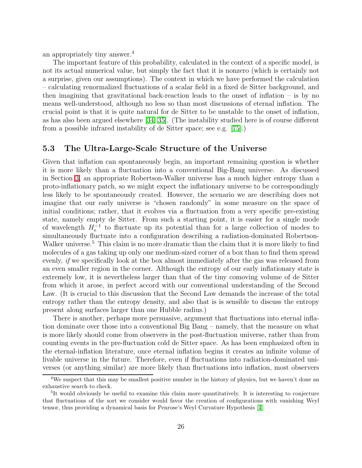an appropriately tiny answer.<sup>4</sup>

The important feature of this probability, calculated in the context of a specific model, is not its actual numerical value, but simply the fact that it is nonzero (which is certainly not a surprise, given our assumptions). The context in which we have performed the calculation – calculating renormalized fluctuations of a scalar field in a fixed de Sitter background, and then imagining that gravitational back-reaction leads to the onset of inflation – is by no means well-understood, although no less so than most discussions of eternal inflation. The crucial point is that it is quite natural for de Sitter to be unstable to the onset of inflation, as has also been argued elsewhere [\[34,](#page-32-2) [35\]](#page-32-3). (The instability studied here is of course different from a possible infrared instability of de Sitter space; see e.g. [\[75\]](#page-34-6).)

### <span id="page-25-0"></span>5.3 The Ultra-Large-Scale Structure of the Universe

Given that inflation can spontaneously begin, an important remaining question is whether it is more likely than a fluctuation into a conventional Big-Bang universe. As discussed in Section [3,](#page-7-0) an appropriate Robertson-Walker universe has a much higher entropy than a proto-inflationary patch, so we might expect the inflationary universe to be correspondingly less likely to be spontaneously created. However, the scenario we are describing does not imagine that our early universe is "chosen randomly" in some measure on the space of initial conditions; rather, that it evolves via a fluctuation from a very specific pre-existing state, namely empty de Sitter. From such a starting point, it is easier for a single mode of wavelength  $H_{\rm e}^{-1}$  to fluctuate up its potential than for a large collection of modes to simultaneously fluctuate into a configuration describing a radiation-dominated Robertson-Walker universe.<sup>5</sup> This claim is no more dramatic than the claim that it is more likely to find molecules of a gas taking up only one medium-sized corner of a box than to find them spread evenly, if we specifically look at the box almost immediately after the gas was released from an even smaller region in the corner. Although the entropy of our early inflationary state is extremely low, it is nevertheless larger than that of the tiny comoving volume of de Sitter from which it arose, in perfect accord with our conventional understanding of the Second Law. (It is crucial to this discussion that the Second Law demands the increase of the total entropy rather than the entropy density, and also that is is sensible to discuss the entropy present along surfaces larger than one Hubble radius.)

There is another, perhaps more persuasive, argument that fluctuations into eternal inflation dominate over those into a conventional Big Bang – namely, that the measure on what is more likely should come from observers in the post-fluctuation universe, rather than from counting events in the pre-fluctuation cold de Sitter space. As has been emphasized often in the eternal-inflation literature, once eternal inflation begins it creates an infinite volume of livable universe in the future. Therefore, even if fluctuations into radiation-dominated universes (or anything similar) are more likely than fluctuations into inflation, most observers

<sup>&</sup>lt;sup>4</sup>We suspect that this may be smallest positive number in the history of physics, but we haven't done an exhaustive search to check.

<sup>5</sup> It would obviously be useful to examine this claim more quantitatively. It is interesting to conjecture that fluctuations of the sort we consider would favor the creation of configurations with vanishing Weyl tensor, thus providing a dynamical basis for Penrose's Weyl Curvature Hypothesis [\[4\]](#page-30-3).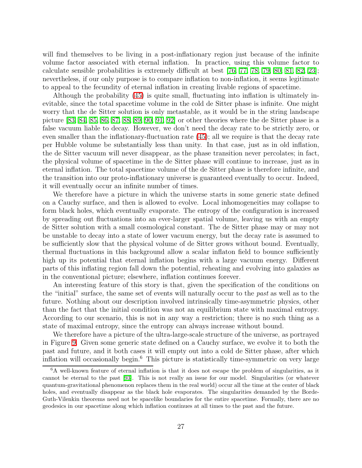will find themselves to be living in a post-inflationary region just because of the infinite volume factor associated with eternal inflation. In practice, using this volume factor to calculate sensible probabilities is extremely difficult at best [\[76,](#page-34-7) [77,](#page-34-8) [78,](#page-34-9) [79,](#page-34-10) [80,](#page-34-11) [81,](#page-34-12) [82,](#page-34-13) [23\]](#page-31-7); nevertheless, if our only purpose is to compare inflation to non-inflation, it seems legitimate to appeal to the fecundity of eternal inflation in creating livable regions of spacetime.

Although the probability [\(45\)](#page-24-2) is quite small, fluctuating into inflation is ultimately inevitable, since the total spacetime volume in the cold de Sitter phase is infinite. One might worry that the de Sitter solution is only metastable, as it would be in the string landscape picture [\[83,](#page-34-14) [84,](#page-34-15) [85,](#page-35-0) [86,](#page-35-1) [87,](#page-35-2) [88,](#page-35-3) [89,](#page-35-4) [90,](#page-35-5) [91,](#page-35-6) [92\]](#page-35-7) or other theories where the de Sitter phase is a false vacuum liable to decay. However, we don't need the decay rate to be strictly zero, or even smaller than the inflationary-fluctuation rate [\(45\)](#page-24-2); all we require is that the decay rate per Hubble volume be substantially less than unity. In that case, just as in old inflation, the de Sitter vacuum will never disappear, as the phase transition never percolates; in fact, the physical volume of spacetime in the de Sitter phase will continue to increase, just as in eternal inflation. The total spacetime volume of the de Sitter phase is therefore infinite, and the transition into our proto-inflationary universe is guaranteed eventually to occur. Indeed, it will eventually occur an infinite number of times.

We therefore have a picture in which the universe starts in some generic state defined on a Cauchy surface, and then is allowed to evolve. Local inhomogeneities may collapse to form black holes, which eventually evaporate. The entropy of the configuration is increased by spreading out fluctuations into an ever-larger spatial volume, leaving us with an empty de Sitter solution with a small cosmological constant. The de Sitter phase may or may not be unstable to decay into a state of lower vacuum energy, but the decay rate is assumed to be sufficiently slow that the physical volume of de Sitter grows without bound. Eventually, thermal fluctuations in this background allow a scalar inflaton field to bounce sufficiently high up its potential that eternal inflation begins with a large vacuum energy. Different parts of this inflating region fall down the potential, reheating and evolving into galaxies as in the conventional picture; elsewhere, inflation continues forever.

An interesting feature of this story is that, given the specification of the conditions on the "initial" surface, the same set of events will naturally occur to the past as well as to the future. Nothing about our description involved intrinsically time-asymmetric physics, other than the fact that the initial condition was not an equilibrium state with maximal entropy. According to our scenario, this is not in any way a restriction; there is no such thing as a state of maximal entropy, since the entropy can always increase without bound.

We therefore have a picture of the ultra-large-scale structure of the universe, as portrayed in Figure [9.](#page-27-1) Given some generic state defined on a Cauchy surface, we evolve it to both the past and future, and it both cases it will empty out into a cold de Sitter phase, after which inflation will occasionally begin.<sup>6</sup> This picture is statistically time-symmetric on very large

<sup>6</sup>A well-known feature of eternal inflation is that it does not escape the problem of singularities, as it cannot be eternal to the past [\[93\]](#page-35-8). This is not really an issue for our model. Singularities (or whatever quantum-gravitational phenomenon replaces them in the real world) occur all the time at the center of black holes, and eventually disappear as the black hole evaporates. The singularities demanded by the Borde-Guth-Vilenkin theorems need not be spacelike boundaries for the entire spacetime. Formally, there are no geodesics in our spacetime along which inflation continues at all times to the past and the future.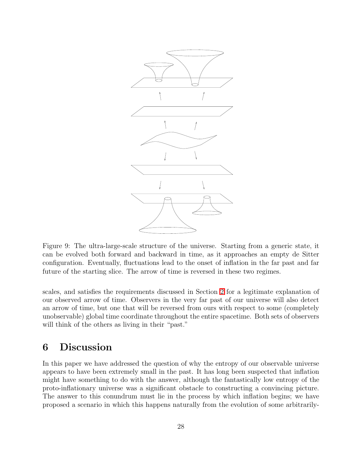

<span id="page-27-1"></span>Figure 9: The ultra-large-scale structure of the universe. Starting from a generic state, it can be evolved both forward and backward in time, as it approaches an empty de Sitter configuration. Eventually, fluctuations lead to the onset of inflation in the far past and far future of the starting slice. The arrow of time is reversed in these two regimes.

scales, and satisfies the requirements discussed in Section [2](#page-4-0) for a legitimate explanation of our observed arrow of time. Observers in the very far past of our universe will also detect an arrow of time, but one that will be reversed from ours with respect to some (completely unobservable) global time coordinate throughout the entire spacetime. Both sets of observers will think of the others as living in their "past."

## <span id="page-27-0"></span>6 Discussion

In this paper we have addressed the question of why the entropy of our observable universe appears to have been extremely small in the past. It has long been suspected that inflation might have something to do with the answer, although the fantastically low entropy of the proto-inflationary universe was a significant obstacle to constructing a convincing picture. The answer to this conundrum must lie in the process by which inflation begins; we have proposed a scenario in which this happens naturally from the evolution of some arbitrarily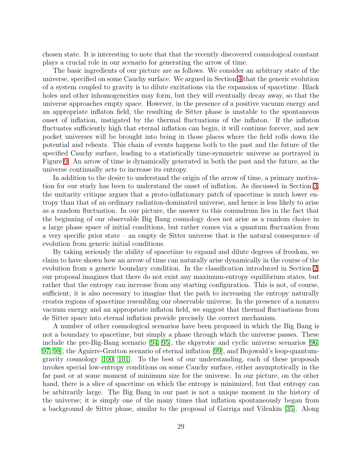chosen state. It is interesting to note that that the recently discovered cosmological constant plays a crucial role in our scenario for generating the arrow of time.

The basic ingredients of our picture are as follows. We consider an arbitrary state of the universe, specified on some Cauchy surface. We argued in Section [4](#page-15-0) that the generic evolution of a system coupled to gravity is to dilute excitations via the expansion of spacetime. Black holes and other inhomogeneities may form, but they will eventually decay away, so that the universe approaches empty space. However, in the presence of a positive vacuum energy and an appropriate inflaton field, the resulting de Sitter phase is unstable to the spontaneous onset of inflation, instigated by the thermal fluctuations of the inflaton. If the inflaton fluctuates sufficiently high that eternal inflation can begin, it will continue forever, and new pocket universes will be brought into being in those places where the field rolls down the potential and reheats. This chain of events happens both to the past and the future of the specified Cauchy surface, leading to a statistically time-symmetric universe as portrayed in Figure [9.](#page-27-1) An arrow of time is dynamically generated in both the past and the future, as the universe continually acts to increase its entropy.

In addition to the desire to understand the origin of the arrow of time, a primary motivation for our study has been to understand the onset of inflation. As discussed in Section [3,](#page-7-0) the unitarity critique argues that a proto-inflationary patch of spacetime is much lower entropy than that of an ordinary radiation-dominated universe, and hence is less likely to arise as a random fluctuation. In our picture, the answer to this conundrum lies in the fact that the beginning of our observable Big Bang cosmology does not arise as a random choice in a large phase space of initial conditions, but rather comes via a quantum fluctuation from a very specific prior state – an empty de Sitter universe that is the natural consequence of evolution from generic initial conditions.

By taking seriously the ability of spacetime to expand and dilute degrees of freedom, we claim to have shown how an arrow of time can naturally arise dynamically in the course of the evolution from a generic boundary condition. In the classification introduced in Section [2,](#page-4-0) our proposal imagines that there do not exist any maximum-entropy equilibrium states, but rather that the entropy can increase from any starting configuration. This is not, of course, sufficient; it is also necessary to imagine that the path to increasing the entropy naturally creates regions of spacetime resembling our observable universe. In the presence of a nonzero vacuum energy and an appropriate inflaton field, we suggest that thermal fluctuations from de Sitter space into eternal inflation provide precisely the correct mechanism.

A number of other cosmological scenarios have been proposed in which the Big Bang is not a boundary to spacetime, but simply a phase through which the universe passes. These include the pre-Big-Bang scenario [\[94,](#page-35-9) [95\]](#page-35-10), the ekpyrotic and cyclic universe scenarios [\[96,](#page-35-11) [97,](#page-35-12) [98\]](#page-35-13), the Aguirre-Gratton scenario of eternal inflation [\[99\]](#page-35-14), and Bojowald's loop-quantumgravity cosmology [\[100,](#page-35-15) [101\]](#page-35-16). To the best of our understanding, each of these proposals invokes special low-entropy conditions on some Cauchy surface, either asymptotically in the far past or at some moment of minimum size for the universe. In our picture, on the other hand, there is a slice of spacetime on which the entropy is minimized, but that entropy can be arbitrarily large. The Big Bang in our past is not a unique moment in the history of the universe; it is simply one of the many times that inflation spontaneously began from a background de Sitter phase, similar to the proposal of Garriga and Vilenkin [\[35\]](#page-32-3). Along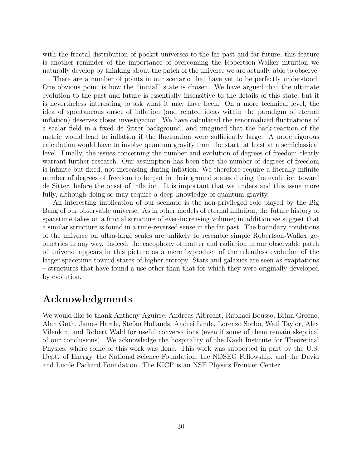with the fractal distribution of pocket universes to the far past and far future, this feature is another reminder of the importance of overcoming the Robertson-Walker intuition we naturally develop by thinking about the patch of the universe we are actually able to observe.

There are a number of points in our scenario that have yet to be perfectly understood. One obvious point is how the "initial" state is chosen. We have argued that the ultimate evolution to the past and future is essentially insensitive to the details of this state, but it is nevertheless interesting to ask what it may have been. On a more technical level, the idea of spontaneous onset of inflation (and related ideas within the paradigm of eternal inflation) deserves closer investigation. We have calculated the renormalized fluctuations of a scalar field in a fixed de Sitter background, and imagined that the back-reaction of the metric would lead to inflation if the fluctuation were sufficiently large. A more rigorous calculation would have to involve quantum gravity from the start, at least at a semiclassical level. Finally, the issues concerning the number and evolution of degrees of freedom clearly warrant further research. Our assumption has been that the number of degrees of freedom is infinite but fixed, not increasing during inflation. We therefore require a literally infinite number of degrees of freedom to be put in their ground states during the evolution toward de Sitter, before the onset of inflation. It is important that we understand this issue more fully, although doing so may require a deep knowledge of quantum gravity.

An interesting implication of our scenario is the non-privileged role played by the Big Bang of our observable universe. As in other models of eternal inflation, the future history of spacetime takes on a fractal structure of ever-increasing volume; in addition we suggest that a similar structure is found in a time-reversed sense in the far past. The boundary conditions of the universe on ultra-large scales are unlikely to resemble simple Robertson-Walker geometries in any way. Indeed, the cacophony of matter and radiation in our observable patch of universe appears in this picture as a mere byproduct of the relentless evolution of the larger spacetime toward states of higher entropy. Stars and galaxies are seen as exaptations – structures that have found a use other than that for which they were originally developed by evolution.

## Acknowledgments

We would like to thank Anthony Aguirre, Andreas Albrecht, Raphael Bousso, Brian Greene, Alan Guth, James Hartle, Stefan Hollands, Andrei Linde, Lorenzo Sorbo, Wati Taylor, Alex Vilenkin, and Robert Wald for useful conversations (even if some of them remain skeptical of our conclusions). We acknowledge the hospitality of the Kavli Institute for Theoretical Physics, where some of this work was done. This work was supported in part by the U.S. Dept. of Energy, the National Science Foundation, the NDSEG Fellowship, and the David and Lucile Packard Foundation. The KICP is an NSF Physics Frontier Center.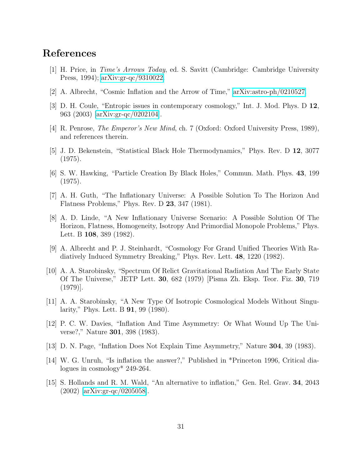## <span id="page-30-0"></span>References

- <span id="page-30-1"></span>[1] H. Price, in Time's Arrows Today, ed. S. Savitt (Cambridge: Cambridge University Press, 1994); [arXiv:gr-qc/9310022.](http://arXiv.org/abs/gr-qc/9310022)
- <span id="page-30-2"></span>[2] A. Albrecht, "Cosmic Inflation and the Arrow of Time," [arXiv:astro-ph/0210527.](http://arXiv.org/abs/astro-ph/0210527)
- <span id="page-30-3"></span>[3] D. H. Coule, "Entropic issues in contemporary cosmology," Int. J. Mod. Phys. D 12, 963 (2003) [\[arXiv:gr-qc/0202104\]](http://arXiv.org/abs/gr-qc/0202104).
- <span id="page-30-4"></span>[4] R. Penrose, The Emperor's New Mind, ch. 7 (Oxford: Oxford University Press, 1989), and references therein.
- [5] J. D. Bekenstein, "Statistical Black Hole Thermodynamics," Phys. Rev. D 12, 3077 (1975).
- <span id="page-30-5"></span>[6] S. W. Hawking, "Particle Creation By Black Holes," Commun. Math. Phys. 43, 199 (1975).
- <span id="page-30-6"></span>[7] A. H. Guth, "The Inflationary Universe: A Possible Solution To The Horizon And Flatness Problems," Phys. Rev. D 23, 347 (1981).
- <span id="page-30-7"></span>[8] A. D. Linde, "A New Inflationary Universe Scenario: A Possible Solution Of The Horizon, Flatness, Homogeneity, Isotropy And Primordial Monopole Problems," Phys. Lett. B 108, 389 (1982).
- <span id="page-30-8"></span>[9] A. Albrecht and P. J. Steinhardt, "Cosmology For Grand Unified Theories With Radiatively Induced Symmetry Breaking," Phys. Rev. Lett. 48, 1220 (1982).
- <span id="page-30-9"></span>[10] A. A. Starobinsky, "Spectrum Of Relict Gravitational Radiation And The Early State Of The Universe," JETP Lett. 30, 682 (1979) [Pisma Zh. Eksp. Teor. Fiz. 30, 719 (1979)].
- <span id="page-30-10"></span>[11] A. A. Starobinsky, "A New Type Of Isotropic Cosmological Models Without Singularity," Phys. Lett. B 91, 99 (1980).
- <span id="page-30-11"></span>[12] P. C. W. Davies, "Inflation And Time Asymmetry: Or What Wound Up The Universe?," Nature 301, 398 (1983).
- <span id="page-30-13"></span><span id="page-30-12"></span>[13] D. N. Page, "Inflation Does Not Explain Time Asymmetry," Nature 304, 39 (1983).
- [14] W. G. Unruh, "Is inflation the answer?," Published in \*Princeton 1996, Critical dialogues in cosmology\* 249-264.
- <span id="page-30-14"></span>[15] S. Hollands and R. M. Wald, "An alternative to inflation," Gen. Rel. Grav. 34, 2043 (2002) [\[arXiv:gr-qc/0205058\]](http://arXiv.org/abs/gr-qc/0205058).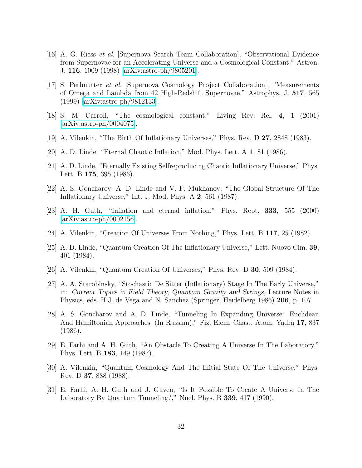- <span id="page-31-0"></span>[16] A. G. Riess et al. [Supernova Search Team Collaboration], "Observational Evidence from Supernovae for an Accelerating Universe and a Cosmological Constant," Astron. J. 116, 1009 (1998) [\[arXiv:astro-ph/9805201\]](http://arXiv.org/abs/astro-ph/9805201).
- <span id="page-31-1"></span>[17] S. Perlmutter et al. [Supernova Cosmology Project Collaboration], "Measurements of Omega and Lambda from 42 High-Redshift Supernovae," Astrophys. J. 517, 565 (1999) [\[arXiv:astro-ph/9812133\]](http://arXiv.org/abs/astro-ph/9812133).
- <span id="page-31-3"></span><span id="page-31-2"></span>[18] S. M. Carroll, "The cosmological constant," Living Rev. Rel. 4, 1 (2001) [\[arXiv:astro-ph/0004075\]](http://arXiv.org/abs/astro-ph/0004075).
- <span id="page-31-4"></span>[19] A. Vilenkin, "The Birth Of Inflationary Universes," Phys. Rev. D 27, 2848 (1983).
- <span id="page-31-5"></span>[20] A. D. Linde, "Eternal Chaotic Inflation," Mod. Phys. Lett. A 1, 81 (1986).
- [21] A. D. Linde, "Eternally Existing Selfreproducing Chaotic Inflationary Universe," Phys. Lett. B **175**, 395 (1986).
- <span id="page-31-6"></span>[22] A. S. Goncharov, A. D. Linde and V. F. Mukhanov, "The Global Structure Of The Inflationary Universe," Int. J. Mod. Phys. A 2, 561 (1987).
- <span id="page-31-7"></span>[23] A. H. Guth, "Inflation and eternal inflation," Phys. Rept. 333, 555 (2000) [\[arXiv:astro-ph/0002156\]](http://arXiv.org/abs/astro-ph/0002156).
- <span id="page-31-9"></span><span id="page-31-8"></span>[24] A. Vilenkin, "Creation Of Universes From Nothing," Phys. Lett. B 117, 25 (1982).
- [25] A. D. Linde, "Quantum Creation Of The Inflationary Universe," Lett. Nuovo Cim. 39, 401 (1984).
- <span id="page-31-11"></span><span id="page-31-10"></span>[26] A. Vilenkin, "Quantum Creation Of Universes," Phys. Rev. D 30, 509 (1984).
- [27] A. A. Starobinsky, "Stochastic De Sitter (Inflationary) Stage In The Early Universe," in: Current Topics in Field Theory, Quantum Gravity and Strings, Lecture Notes in Physics, eds. H.J. de Vega and N. Sanchez (Springer, Heidelberg 1986) 206, p. 107
- <span id="page-31-12"></span>[28] A. S. Goncharov and A. D. Linde, "Tunneling In Expanding Universe: Euclidean And Hamiltonian Approaches. (In Russian)," Fiz. Elem. Chast. Atom. Yadra 17, 837 (1986).
- <span id="page-31-13"></span>[29] E. Farhi and A. H. Guth, "An Obstacle To Creating A Universe In The Laboratory," Phys. Lett. B 183, 149 (1987).
- <span id="page-31-14"></span>[30] A. Vilenkin, "Quantum Cosmology And The Initial State Of The Universe," Phys. Rev. D 37, 888 (1988).
- <span id="page-31-15"></span>[31] E. Farhi, A. H. Guth and J. Guven, "Is It Possible To Create A Universe In The Laboratory By Quantum Tunneling?," Nucl. Phys. B 339, 417 (1990).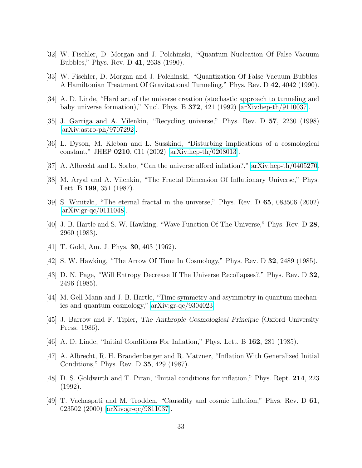- <span id="page-32-1"></span><span id="page-32-0"></span>[32] W. Fischler, D. Morgan and J. Polchinski, "Quantum Nucleation Of False Vacuum Bubbles," Phys. Rev. D 41, 2638 (1990).
- <span id="page-32-2"></span>[33] W. Fischler, D. Morgan and J. Polchinski, "Quantization Of False Vacuum Bubbles: A Hamiltonian Treatment Of Gravitational Tunneling," Phys. Rev. D 42, 4042 (1990).
- <span id="page-32-3"></span>[34] A. D. Linde, "Hard art of the universe creation (stochastic approach to tunneling and baby universe formation)," Nucl. Phys. B  $372$ ,  $421$  (1992) [\[arXiv:hep-th/9110037\]](http://arXiv.org/abs/hep-th/9110037).
- <span id="page-32-4"></span>[35] J. Garriga and A. Vilenkin, "Recycling universe," Phys. Rev. D 57, 2230 (1998) [\[arXiv:astro-ph/9707292\]](http://arXiv.org/abs/astro-ph/9707292).
- <span id="page-32-5"></span>[36] L. Dyson, M. Kleban and L. Susskind, "Disturbing implications of a cosmological constant," JHEP 0210, 011 (2002) [\[arXiv:hep-th/0208013\]](http://arXiv.org/abs/hep-th/0208013).
- <span id="page-32-6"></span>[37] A. Albrecht and L. Sorbo, "Can the universe afford inflation?," [arXiv:hep-th/0405270.](http://arXiv.org/abs/hep-th/0405270)
- <span id="page-32-7"></span>[38] M. Aryal and A. Vilenkin, "The Fractal Dimension Of Inflationary Universe," Phys. Lett. B 199, 351 (1987).
- [39] S. Winitzki, "The eternal fractal in the universe," Phys. Rev. D 65, 083506 (2002) [\[arXiv:gr-qc/0111048\]](http://arXiv.org/abs/gr-qc/0111048).
- <span id="page-32-8"></span>[40] J. B. Hartle and S. W. Hawking, "Wave Function Of The Universe," Phys. Rev. D 28, 2960 (1983).
- <span id="page-32-10"></span><span id="page-32-9"></span>[41] T. Gold, Am. J. Phys. 30, 403 (1962).
- <span id="page-32-11"></span>[42] S. W. Hawking, "The Arrow Of Time In Cosmology," Phys. Rev. D 32, 2489 (1985).
- [43] D. N. Page, "Will Entropy Decrease If The Universe Recollapses?," Phys. Rev. D 32, 2496 (1985).
- <span id="page-32-12"></span>[44] M. Gell-Mann and J. B. Hartle, "Time symmetry and asymmetry in quantum mechanics and quantum cosmology," [arXiv:gr-qc/9304023.](http://arXiv.org/abs/gr-qc/9304023)
- <span id="page-32-13"></span>[45] J. Barrow and F. Tipler, The Anthropic Cosmological Principle (Oxford University Press: 1986).
- <span id="page-32-15"></span><span id="page-32-14"></span>[46] A. D. Linde, "Initial Conditions For Inflation," Phys. Lett. B 162, 281 (1985).
- [47] A. Albrecht, R. H. Brandenberger and R. Matzner, "Inflation With Generalized Initial Conditions," Phys. Rev. D 35, 429 (1987).
- <span id="page-32-16"></span>[48] D. S. Goldwirth and T. Piran, "Initial conditions for inflation," Phys. Rept. 214, 223 (1992).
- <span id="page-32-17"></span>[49] T. Vachaspati and M. Trodden, "Causality and cosmic inflation," Phys. Rev. D 61, 023502 (2000) [\[arXiv:gr-qc/9811037\]](http://arXiv.org/abs/gr-qc/9811037).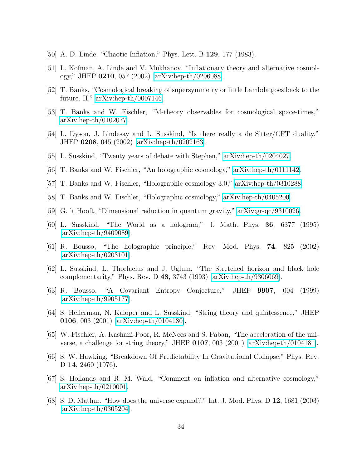- <span id="page-33-1"></span><span id="page-33-0"></span>[50] A. D. Linde, "Chaotic Inflation," Phys. Lett. B 129, 177 (1983).
- <span id="page-33-2"></span>[51] L. Kofman, A. Linde and V. Mukhanov, "Inflationary theory and alternative cosmology," JHEP 0210, 057 (2002) [\[arXiv:hep-th/0206088\]](http://arXiv.org/abs/hep-th/0206088).
- <span id="page-33-3"></span>[52] T. Banks, "Cosmological breaking of supersymmetry or little Lambda goes back to the future. II," [arXiv:hep-th/0007146.](http://arXiv.org/abs/hep-th/0007146)
- <span id="page-33-4"></span>[53] T. Banks and W. Fischler, "M-theory observables for cosmological space-times," [arXiv:hep-th/0102077.](http://arXiv.org/abs/hep-th/0102077)
- [54] L. Dyson, J. Lindesay and L. Susskind, "Is there really a de Sitter/CFT duality," JHEP 0208, 045 (2002) [\[arXiv:hep-th/0202163\]](http://arXiv.org/abs/hep-th/0202163).
- <span id="page-33-11"></span><span id="page-33-5"></span>[55] L. Susskind, "Twenty years of debate with Stephen," [arXiv:hep-th/0204027.](http://arXiv.org/abs/hep-th/0204027)
- <span id="page-33-12"></span>[56] T. Banks and W. Fischler, "An holographic cosmology," [arXiv:hep-th/0111142.](http://arXiv.org/abs/hep-th/0111142)
- <span id="page-33-13"></span>[57] T. Banks and W. Fischler, "Holographic cosmology 3.0," [arXiv:hep-th/0310288.](http://arXiv.org/abs/hep-th/0310288)
- <span id="page-33-6"></span>[58] T. Banks and W. Fischler, "Holographic cosmology," [arXiv:hep-th/0405200.](http://arXiv.org/abs/hep-th/0405200)
- <span id="page-33-7"></span>[59] G. 't Hooft, "Dimensional reduction in quantum gravity," [arXiv:gr-qc/9310026.](http://arXiv.org/abs/gr-qc/9310026)
- <span id="page-33-8"></span>[60] L. Susskind, "The World as a hologram," J. Math. Phys. 36, 6377 (1995) [\[arXiv:hep-th/9409089\]](http://arXiv.org/abs/hep-th/9409089).
- [61] R. Bousso, "The holographic principle," Rev. Mod. Phys. 74, 825 (2002) [\[arXiv:hep-th/0203101\]](http://arXiv.org/abs/hep-th/0203101).
- <span id="page-33-9"></span>[62] L. Susskind, L. Thorlacius and J. Uglum, "The Stretched horizon and black hole complementarity," Phys. Rev. D 48, 3743 (1993) [\[arXiv:hep-th/9306069\]](http://arXiv.org/abs/hep-th/9306069).
- <span id="page-33-10"></span>[63] R. Bousso, "A Covariant Entropy Conjecture," JHEP 9907, 004 (1999) [\[arXiv:hep-th/9905177\]](http://arXiv.org/abs/hep-th/9905177).
- <span id="page-33-14"></span>[64] S. Hellerman, N. Kaloper and L. Susskind, "String theory and quintessence," JHEP 0106, 003 (2001) [\[arXiv:hep-th/0104180\]](http://arXiv.org/abs/hep-th/0104180).
- <span id="page-33-15"></span>[65] W. Fischler, A. Kashani-Poor, R. McNees and S. Paban, "The acceleration of the universe, a challenge for string theory," JHEP 0107, 003 (2001) [\[arXiv:hep-th/0104181\]](http://arXiv.org/abs/hep-th/0104181).
- <span id="page-33-16"></span>[66] S. W. Hawking, "Breakdown Of Predictability In Gravitational Collapse," Phys. Rev. D 14, 2460 (1976).
- <span id="page-33-17"></span>[67] S. Hollands and R. M. Wald, "Comment on inflation and alternative cosmology," [arXiv:hep-th/0210001.](http://arXiv.org/abs/hep-th/0210001)
- <span id="page-33-18"></span>[68] S. D. Mathur, "How does the universe expand?," Int. J. Mod. Phys. D 12, 1681 (2003) [\[arXiv:hep-th/0305204\]](http://arXiv.org/abs/hep-th/0305204).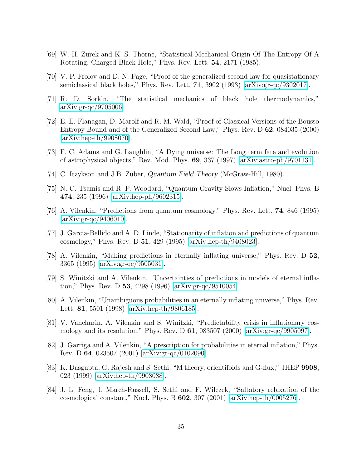- <span id="page-34-1"></span><span id="page-34-0"></span>[69] W. H. Zurek and K. S. Thorne, "Statistical Mechanical Origin Of The Entropy Of A Rotating, Charged Black Hole," Phys. Rev. Lett. 54, 2171 (1985).
- <span id="page-34-2"></span>[70] V. P. Frolov and D. N. Page, "Proof of the generalized second law for quasistationary semiclassical black holes," Phys. Rev. Lett. 71, 3902 (1993) [\[arXiv:gr-qc/9302017\]](http://arXiv.org/abs/gr-qc/9302017).
- [71] R. D. Sorkin, "The statistical mechanics of black hole thermodynamics," [arXiv:gr-qc/9705006.](http://arXiv.org/abs/gr-qc/9705006)
- <span id="page-34-3"></span>[72] E. E. Flanagan, D. Marolf and R. M. Wald, "Proof of Classical Versions of the Bousso Entropy Bound and of the Generalized Second Law," Phys. Rev. D 62, 084035 (2000) [\[arXiv:hep-th/9908070\]](http://arXiv.org/abs/hep-th/9908070).
- <span id="page-34-4"></span>[73] F. C. Adams and G. Laughlin, "A Dying universe: The Long term fate and evolution of astrophysical objects," Rev. Mod. Phys. 69, 337 (1997) [\[arXiv:astro-ph/9701131\]](http://arXiv.org/abs/astro-ph/9701131).
- <span id="page-34-6"></span><span id="page-34-5"></span>[74] C. Itzykson and J.B. Zuber, Quantum Field Theory (McGraw-Hill, 1980).
- [75] N. C. Tsamis and R. P. Woodard, "Quantum Gravity Slows Inflation," Nucl. Phys. B 474, 235 (1996) [\[arXiv:hep-ph/9602315\]](http://arXiv.org/abs/hep-ph/9602315).
- <span id="page-34-7"></span>[76] A. Vilenkin, "Predictions from quantum cosmology," Phys. Rev. Lett. 74, 846 (1995)  $\arXiv:gr-qc/9406010$ .
- <span id="page-34-8"></span>[77] J. Garcia-Bellido and A. D. Linde, "Stationarity of inflation and predictions of quantum cosmology," Phys. Rev. D 51, 429 (1995) [\[arXiv:hep-th/9408023\]](http://arXiv.org/abs/hep-th/9408023).
- <span id="page-34-9"></span>[78] A. Vilenkin, "Making predictions in eternally inflating universe," Phys. Rev. D 52, 3365 (1995) [\[arXiv:gr-qc/9505031\]](http://arXiv.org/abs/gr-qc/9505031).
- <span id="page-34-10"></span>[79] S. Winitzki and A. Vilenkin, "Uncertainties of predictions in models of eternal inflation," Phys. Rev. D 53, 4298 (1996) [\[arXiv:gr-qc/9510054\]](http://arXiv.org/abs/gr-qc/9510054).
- <span id="page-34-11"></span>[80] A. Vilenkin, "Unambiguous probabilities in an eternally inflating universe," Phys. Rev. Lett. 81, 5501 (1998) [\[arXiv:hep-th/9806185\]](http://arXiv.org/abs/hep-th/9806185).
- <span id="page-34-12"></span>[81] V. Vanchurin, A. Vilenkin and S. Winitzki, "Predictability crisis in inflationary cosmology and its resolution," Phys. Rev. D 61, 083507 (2000) [\[arXiv:gr-qc/9905097\]](http://arXiv.org/abs/gr-qc/9905097).
- <span id="page-34-13"></span>[82] J. Garriga and A. Vilenkin, "A prescription for probabilities in eternal inflation," Phys. Rev. D 64, 023507 (2001) [\[arXiv:gr-qc/0102090\]](http://arXiv.org/abs/gr-qc/0102090).
- <span id="page-34-14"></span>[83] K. Dasgupta, G. Rajesh and S. Sethi, "M theory, orientifolds and G-flux," JHEP 9908, 023 (1999) [\[arXiv:hep-th/9908088\]](http://arXiv.org/abs/hep-th/9908088).
- <span id="page-34-15"></span>[84] J. L. Feng, J. March-Russell, S. Sethi and F. Wilczek, "Saltatory relaxation of the cosmological constant," Nucl. Phys. B  $602$ ,  $307$  (2001) [\[arXiv:hep-th/0005276\]](http://arXiv.org/abs/hep-th/0005276).